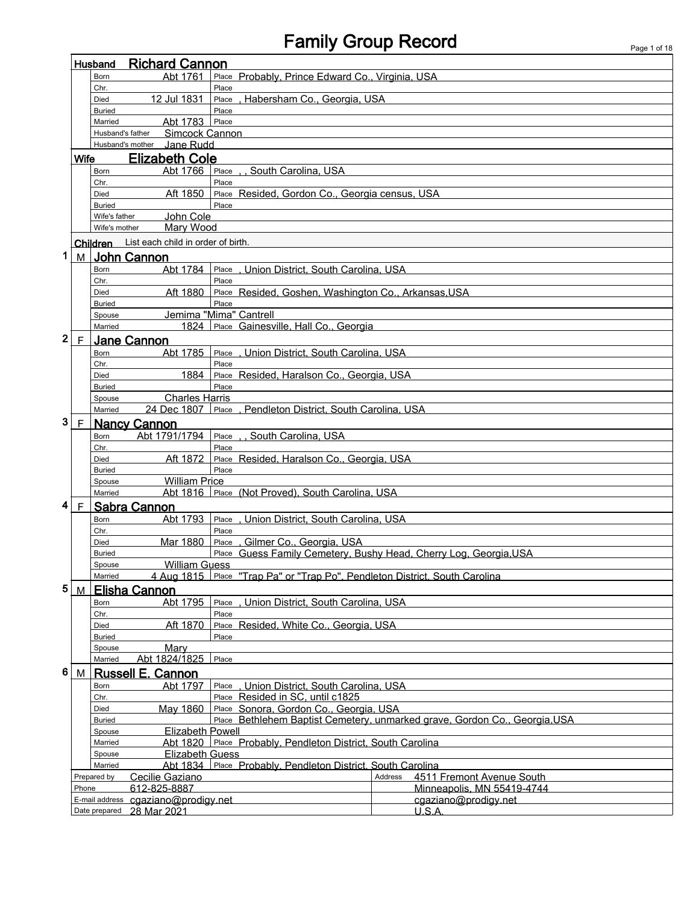# Family Group Record Page 1 of 18

|                                                                                                                | <b>Richard Cannon</b><br>Husband                                 |                       |                                             |                                                                             |                                      |  |  |  |
|----------------------------------------------------------------------------------------------------------------|------------------------------------------------------------------|-----------------------|---------------------------------------------|-----------------------------------------------------------------------------|--------------------------------------|--|--|--|
|                                                                                                                |                                                                  | <b>Born</b>           | Abt 1761                                    | Place Probably, Prince Edward Co., Virginia, USA                            |                                      |  |  |  |
|                                                                                                                |                                                                  | Chr.<br>Died          | 12 Jul 1831                                 | Place<br>, Habersham Co., Georgia, USA<br>Place                             |                                      |  |  |  |
|                                                                                                                |                                                                  |                       |                                             |                                                                             |                                      |  |  |  |
| Place<br><b>Buried</b><br>Abt 1783<br>Place<br>Married                                                         |                                                                  |                       |                                             |                                                                             |                                      |  |  |  |
|                                                                                                                |                                                                  | Husband's father      | Simcock Cannon                              |                                                                             |                                      |  |  |  |
|                                                                                                                |                                                                  |                       | Jane Rudd<br>Husband's mother               |                                                                             |                                      |  |  |  |
|                                                                                                                | <b>Wife</b>                                                      |                       | <b>Elizabeth Cole</b>                       |                                                                             |                                      |  |  |  |
|                                                                                                                |                                                                  | Born                  | Abt 1766                                    | Place<br>South Carolina. USA                                                |                                      |  |  |  |
| Chr.<br>Place                                                                                                  |                                                                  |                       |                                             |                                                                             |                                      |  |  |  |
|                                                                                                                |                                                                  | Died<br><b>Buried</b> | Aft 1850                                    | Place Resided, Gordon Co., Georgia census, USA<br>Place                     |                                      |  |  |  |
|                                                                                                                |                                                                  | Wife's father         | John Cole                                   |                                                                             |                                      |  |  |  |
|                                                                                                                |                                                                  | Wife's mother         | Mary Wood                                   |                                                                             |                                      |  |  |  |
|                                                                                                                |                                                                  |                       | Children List each child in order of birth. |                                                                             |                                      |  |  |  |
| 1                                                                                                              | M                                                                |                       | <b>John Cannon</b>                          |                                                                             |                                      |  |  |  |
|                                                                                                                |                                                                  | Born                  | Abt 1784                                    | Place, Union District, South Carolina, USA                                  |                                      |  |  |  |
|                                                                                                                |                                                                  | Chr.                  |                                             | Place                                                                       |                                      |  |  |  |
|                                                                                                                |                                                                  | Died                  | Aft 1880                                    | Place Resided, Goshen, Washington Co., Arkansas, USA                        |                                      |  |  |  |
|                                                                                                                |                                                                  | <b>Buried</b>         |                                             | Place                                                                       |                                      |  |  |  |
|                                                                                                                |                                                                  | Spouse                |                                             | Jemima "Mima" Cantrell                                                      |                                      |  |  |  |
|                                                                                                                |                                                                  | Married               | 1824                                        | Place Gainesville, Hall Co., Georgia                                        |                                      |  |  |  |
| $\overline{\mathbf{c}}$                                                                                        | $\mathsf F$                                                      |                       | <b>Jane Cannon</b>                          |                                                                             |                                      |  |  |  |
|                                                                                                                |                                                                  | <b>Born</b><br>Chr.   | Abt 1785                                    | , Union District, South Carolina, USA<br>Place<br>Place                     |                                      |  |  |  |
|                                                                                                                |                                                                  | Died                  | 1884                                        | Place Resided, Haralson Co., Georgia, USA                                   |                                      |  |  |  |
|                                                                                                                |                                                                  | <b>Buried</b>         |                                             | Place                                                                       |                                      |  |  |  |
|                                                                                                                |                                                                  | Spouse                | <b>Charles Harris</b>                       |                                                                             |                                      |  |  |  |
|                                                                                                                |                                                                  | Married               | 24 Dec 1807                                 | . Pendleton District, South Carolina, USA<br>Place                          |                                      |  |  |  |
| 3                                                                                                              | $\mathsf{F}$                                                     |                       | <b>Nancy Cannon</b>                         |                                                                             |                                      |  |  |  |
|                                                                                                                | Abt 1791/1794<br>Place<br>. South Carolina, USA<br>Born          |                       |                                             |                                                                             |                                      |  |  |  |
|                                                                                                                | Chr.<br>Place                                                    |                       |                                             |                                                                             |                                      |  |  |  |
| Aft 1872<br>Place Resided, Haralson Co., Georgia, USA<br>Died<br>Place                                         |                                                                  |                       |                                             |                                                                             |                                      |  |  |  |
| <b>Buried</b><br><b>William Price</b><br>Spouse                                                                |                                                                  |                       |                                             |                                                                             |                                      |  |  |  |
| Abt 1816 Place (Not Proved). South Carolina. USA<br>Married                                                    |                                                                  |                       |                                             |                                                                             |                                      |  |  |  |
| 4                                                                                                              | F                                                                |                       | <b>Sabra Cannon</b>                         |                                                                             |                                      |  |  |  |
|                                                                                                                |                                                                  | Born                  | Abt 1793                                    | , Union District, South Carolina, USA<br>Place                              |                                      |  |  |  |
|                                                                                                                |                                                                  | Chr.                  |                                             | Place                                                                       |                                      |  |  |  |
|                                                                                                                |                                                                  | Died                  | Mar 1880                                    | Place, Gilmer Co., Georgia, USA                                             |                                      |  |  |  |
|                                                                                                                |                                                                  | <b>Buried</b>         |                                             | Place Guess Family Cemetery, Bushy Head, Cherry Log, Georgia, USA           |                                      |  |  |  |
|                                                                                                                |                                                                  | Spouse                | <b>William Guess</b>                        |                                                                             |                                      |  |  |  |
|                                                                                                                |                                                                  | Married               |                                             | 4 Aug 1815 Place "Trap Pa" or "Trap Po". Pendleton District. South Carolina |                                      |  |  |  |
| 5                                                                                                              | M                                                                |                       | <b>Elisha Cannon</b>                        |                                                                             |                                      |  |  |  |
|                                                                                                                |                                                                  | Born                  | Abt 1795                                    | Union District, South Carolina, USA<br>Place                                |                                      |  |  |  |
|                                                                                                                |                                                                  | Chr.<br>Died          | Aft 1870                                    | Place<br>Place Resided, White Co., Georgia, USA                             |                                      |  |  |  |
| <b>Buried</b>                                                                                                  |                                                                  |                       |                                             | Place                                                                       |                                      |  |  |  |
| Mary<br>Spouse                                                                                                 |                                                                  |                       |                                             |                                                                             |                                      |  |  |  |
| Abt 1824/1825<br>Place<br>Married                                                                              |                                                                  |                       |                                             |                                                                             |                                      |  |  |  |
| 6                                                                                                              | M                                                                |                       | Russell E. Cannon                           |                                                                             |                                      |  |  |  |
|                                                                                                                | Union District, South Carolina, USA<br>Abt 1797<br>Place<br>Born |                       |                                             |                                                                             |                                      |  |  |  |
|                                                                                                                | Place Resided in SC, until c1825<br>Chr.                         |                       |                                             |                                                                             |                                      |  |  |  |
| May 1860<br>Place Sonora, Gordon Co., Georgia, USA<br>Died                                                     |                                                                  |                       |                                             |                                                                             |                                      |  |  |  |
| Place Bethlehem Baptist Cemetery, unmarked grave, Gordon Co., Georgia, USA<br><b>Buried</b>                    |                                                                  |                       |                                             |                                                                             |                                      |  |  |  |
| <b>Elizabeth Powell</b><br>Spouse<br>Place Probably, Pendleton District, South Carolina<br>Abt 1820<br>Married |                                                                  |                       |                                             |                                                                             |                                      |  |  |  |
| <b>Elizabeth Guess</b><br>Spouse                                                                               |                                                                  |                       |                                             |                                                                             |                                      |  |  |  |
|                                                                                                                |                                                                  | Married               |                                             | Abt 1834 Place Probably, Pendleton District, South Carolina                 |                                      |  |  |  |
|                                                                                                                |                                                                  | Prepared by           | Cecilie Gaziano                             |                                                                             | Address<br>4511 Fremont Avenue South |  |  |  |
|                                                                                                                | Phone                                                            |                       | 612-825-8887                                |                                                                             | Minneapolis, MN 55419-4744           |  |  |  |
|                                                                                                                |                                                                  | E-mail address        | cgaziano@prodigy.net                        |                                                                             | cgaziano@prodigy.net                 |  |  |  |
|                                                                                                                |                                                                  | Date prepared         | 28 Mar 2021                                 |                                                                             | U.S.A.                               |  |  |  |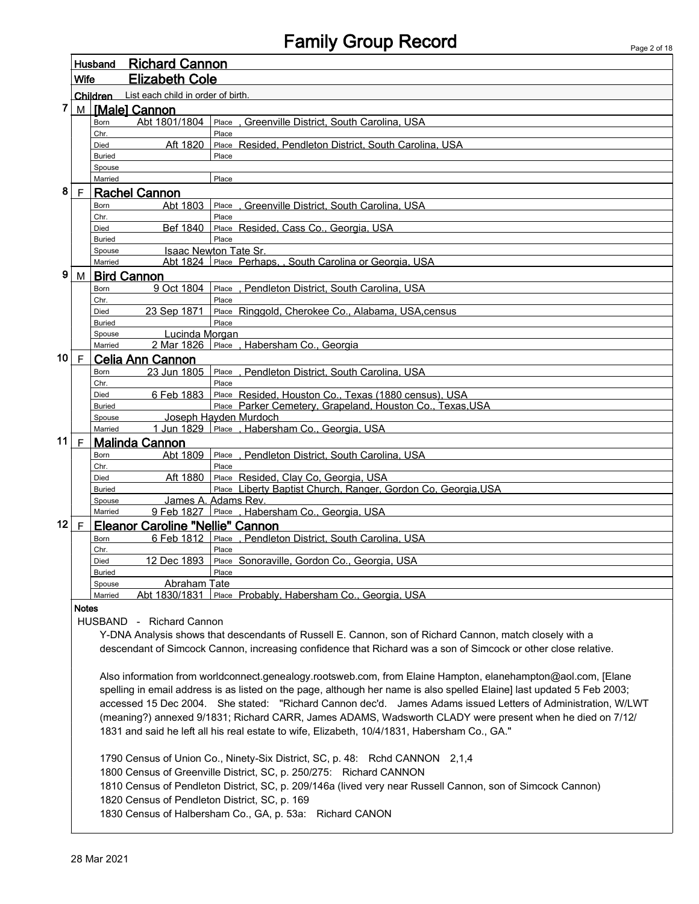| Husband                                                                                                                                                     |                                                                                              |                         | <b>Richard Cannon</b>                                                                                        |                                                                                                                |  |  |  |  |
|-------------------------------------------------------------------------------------------------------------------------------------------------------------|----------------------------------------------------------------------------------------------|-------------------------|--------------------------------------------------------------------------------------------------------------|----------------------------------------------------------------------------------------------------------------|--|--|--|--|
| <b>Wife</b>                                                                                                                                                 |                                                                                              |                         | <b>Elizabeth Cole</b>                                                                                        |                                                                                                                |  |  |  |  |
|                                                                                                                                                             |                                                                                              | Children                | List each child in order of birth.                                                                           |                                                                                                                |  |  |  |  |
| 7                                                                                                                                                           |                                                                                              |                         | M [Male] Cannon                                                                                              |                                                                                                                |  |  |  |  |
|                                                                                                                                                             |                                                                                              | Born                    | Abt 1801/1804                                                                                                | Place . Greenville District. South Carolina. USA                                                               |  |  |  |  |
|                                                                                                                                                             |                                                                                              | Chr.                    |                                                                                                              | Place                                                                                                          |  |  |  |  |
|                                                                                                                                                             |                                                                                              | Died                    | Aft 1820                                                                                                     | Place Resided, Pendleton District, South Carolina, USA                                                         |  |  |  |  |
|                                                                                                                                                             |                                                                                              | <b>Buried</b>           |                                                                                                              | Place                                                                                                          |  |  |  |  |
|                                                                                                                                                             |                                                                                              | Spouse                  |                                                                                                              |                                                                                                                |  |  |  |  |
|                                                                                                                                                             |                                                                                              | Married                 |                                                                                                              | Place                                                                                                          |  |  |  |  |
| 8                                                                                                                                                           |                                                                                              |                         | F Rachel Cannon                                                                                              |                                                                                                                |  |  |  |  |
|                                                                                                                                                             |                                                                                              | Born<br>Chr.            | Abt 1803                                                                                                     | Place<br>, Greenville District, South Carolina, USA<br>Place                                                   |  |  |  |  |
|                                                                                                                                                             |                                                                                              | <b>Died</b>             | Bef 1840                                                                                                     | Place Resided, Cass Co., Georgia, USA                                                                          |  |  |  |  |
|                                                                                                                                                             |                                                                                              | <b>Buried</b>           |                                                                                                              | Place                                                                                                          |  |  |  |  |
|                                                                                                                                                             |                                                                                              | Spouse                  |                                                                                                              | <b>Isaac Newton Tate Sr.</b>                                                                                   |  |  |  |  |
|                                                                                                                                                             |                                                                                              | Married                 |                                                                                                              | Abt 1824 Place Perhaps,, South Carolina or Georgia, USA                                                        |  |  |  |  |
| 9                                                                                                                                                           | M                                                                                            |                         | <b>Bird Cannon</b>                                                                                           |                                                                                                                |  |  |  |  |
|                                                                                                                                                             |                                                                                              | Born                    | 9 Oct 1804                                                                                                   | Place , Pendleton District, South Carolina, USA                                                                |  |  |  |  |
|                                                                                                                                                             |                                                                                              | Chr.                    |                                                                                                              | Place                                                                                                          |  |  |  |  |
|                                                                                                                                                             |                                                                                              | Died                    | 23 Sep 1871                                                                                                  | Place Ringgold, Cherokee Co., Alabama, USA, census                                                             |  |  |  |  |
|                                                                                                                                                             |                                                                                              | <b>Buried</b>           |                                                                                                              | Place                                                                                                          |  |  |  |  |
|                                                                                                                                                             |                                                                                              | Spouse<br>Married       | Lucinda Morgan                                                                                               | 2 Mar 1826   Place, Habersham Co., Georgia                                                                     |  |  |  |  |
|                                                                                                                                                             | 10 F                                                                                         |                         | Celia Ann Cannon                                                                                             |                                                                                                                |  |  |  |  |
|                                                                                                                                                             |                                                                                              | Born                    | 23 Jun 1805                                                                                                  | Place . Pendleton District. South Carolina. USA                                                                |  |  |  |  |
|                                                                                                                                                             |                                                                                              | Chr.                    |                                                                                                              | Place                                                                                                          |  |  |  |  |
|                                                                                                                                                             |                                                                                              | Died                    | 6 Feb 1883                                                                                                   | Place Resided, Houston Co., Texas (1880 census), USA                                                           |  |  |  |  |
|                                                                                                                                                             |                                                                                              | <b>Buried</b>           |                                                                                                              | Place Parker Cemetery, Grapeland, Houston Co., Texas, USA                                                      |  |  |  |  |
|                                                                                                                                                             |                                                                                              | Spouse                  |                                                                                                              | Joseph Hayden Murdoch                                                                                          |  |  |  |  |
|                                                                                                                                                             |                                                                                              | Married                 |                                                                                                              | 1 Jun 1829 Place . Habersham Co., Georgia, USA                                                                 |  |  |  |  |
| 11 $\vert$ F                                                                                                                                                |                                                                                              |                         | Malinda Cannon                                                                                               |                                                                                                                |  |  |  |  |
|                                                                                                                                                             |                                                                                              | Born                    | Abt 1809                                                                                                     | Place, Pendleton District, South Carolina, USA                                                                 |  |  |  |  |
|                                                                                                                                                             |                                                                                              | Chr.                    |                                                                                                              | Place                                                                                                          |  |  |  |  |
|                                                                                                                                                             |                                                                                              | <b>Died</b>             | Aft 1880                                                                                                     | Place Resided, Clay Co, Georgia, USA<br>Place Liberty Baptist Church, Ranger, Gordon Co, Georgia, USA          |  |  |  |  |
|                                                                                                                                                             |                                                                                              | <b>Buried</b><br>Spouse |                                                                                                              | James A. Adams Rev.                                                                                            |  |  |  |  |
|                                                                                                                                                             |                                                                                              | Married                 |                                                                                                              | 9 Feb 1827 Place . Habersham Co., Georgia, USA                                                                 |  |  |  |  |
| 12                                                                                                                                                          | F                                                                                            |                         | <b>Eleanor Caroline "Nellie" Cannon</b>                                                                      |                                                                                                                |  |  |  |  |
|                                                                                                                                                             |                                                                                              | Born                    | 6 Feb 1812                                                                                                   | Place, Pendleton District, South Carolina, USA                                                                 |  |  |  |  |
|                                                                                                                                                             |                                                                                              | Chr.                    |                                                                                                              | Place                                                                                                          |  |  |  |  |
|                                                                                                                                                             |                                                                                              | Died                    |                                                                                                              | 12 Dec 1893 Place Sonoraville, Gordon Co., Georgia, USA                                                        |  |  |  |  |
|                                                                                                                                                             |                                                                                              | <b>Buried</b>           |                                                                                                              | Place                                                                                                          |  |  |  |  |
|                                                                                                                                                             |                                                                                              | Spouse                  | Abraham Tate                                                                                                 |                                                                                                                |  |  |  |  |
|                                                                                                                                                             |                                                                                              | Married                 |                                                                                                              | Abt 1830/1831 Place Probably, Habersham Co., Georgia, USA                                                      |  |  |  |  |
|                                                                                                                                                             | <b>Notes</b>                                                                                 |                         |                                                                                                              |                                                                                                                |  |  |  |  |
|                                                                                                                                                             |                                                                                              |                         | HUSBAND - Richard Cannon                                                                                     |                                                                                                                |  |  |  |  |
|                                                                                                                                                             |                                                                                              |                         |                                                                                                              | Y-DNA Analysis shows that descendants of Russell E. Cannon, son of Richard Cannon, match closely with a        |  |  |  |  |
|                                                                                                                                                             |                                                                                              |                         |                                                                                                              | descendant of Simcock Cannon, increasing confidence that Richard was a son of Simcock or other close relative. |  |  |  |  |
|                                                                                                                                                             |                                                                                              |                         |                                                                                                              |                                                                                                                |  |  |  |  |
| Also information from worldconnect.genealogy.rootsweb.com, from Elaine Hampton, elanehampton@aol.com, [Elane                                                |                                                                                              |                         |                                                                                                              |                                                                                                                |  |  |  |  |
| spelling in email address is as listed on the page, although her name is also spelled Elaine] last updated 5 Feb 2003;                                      |                                                                                              |                         |                                                                                                              |                                                                                                                |  |  |  |  |
|                                                                                                                                                             |                                                                                              |                         | accessed 15 Dec 2004. She stated: "Richard Cannon dec'd. James Adams issued Letters of Administration, W/LWT |                                                                                                                |  |  |  |  |
|                                                                                                                                                             |                                                                                              |                         | (meaning?) annexed 9/1831; Richard CARR, James ADAMS, Wadsworth CLADY were present when he died on 7/12/     |                                                                                                                |  |  |  |  |
|                                                                                                                                                             | 1831 and said he left all his real estate to wife, Elizabeth, 10/4/1831, Habersham Co., GA." |                         |                                                                                                              |                                                                                                                |  |  |  |  |
|                                                                                                                                                             |                                                                                              |                         |                                                                                                              |                                                                                                                |  |  |  |  |
|                                                                                                                                                             |                                                                                              |                         |                                                                                                              | 1790 Census of Union Co., Ninety-Six District, SC, p. 48: Rchd CANNON 2,1,4                                    |  |  |  |  |
| 1800 Census of Greenville District, SC, p. 250/275: Richard CANNON                                                                                          |                                                                                              |                         |                                                                                                              |                                                                                                                |  |  |  |  |
|                                                                                                                                                             |                                                                                              |                         |                                                                                                              |                                                                                                                |  |  |  |  |
| 1810 Census of Pendleton District, SC, p. 209/146a (lived very near Russell Cannon, son of Simcock Cannon)<br>1820 Census of Pendleton District, SC, p. 169 |                                                                                              |                         |                                                                                                              |                                                                                                                |  |  |  |  |
|                                                                                                                                                             |                                                                                              |                         |                                                                                                              |                                                                                                                |  |  |  |  |
|                                                                                                                                                             |                                                                                              |                         |                                                                                                              | 1830 Census of Halbersham Co., GA, p. 53a: Richard CANON                                                       |  |  |  |  |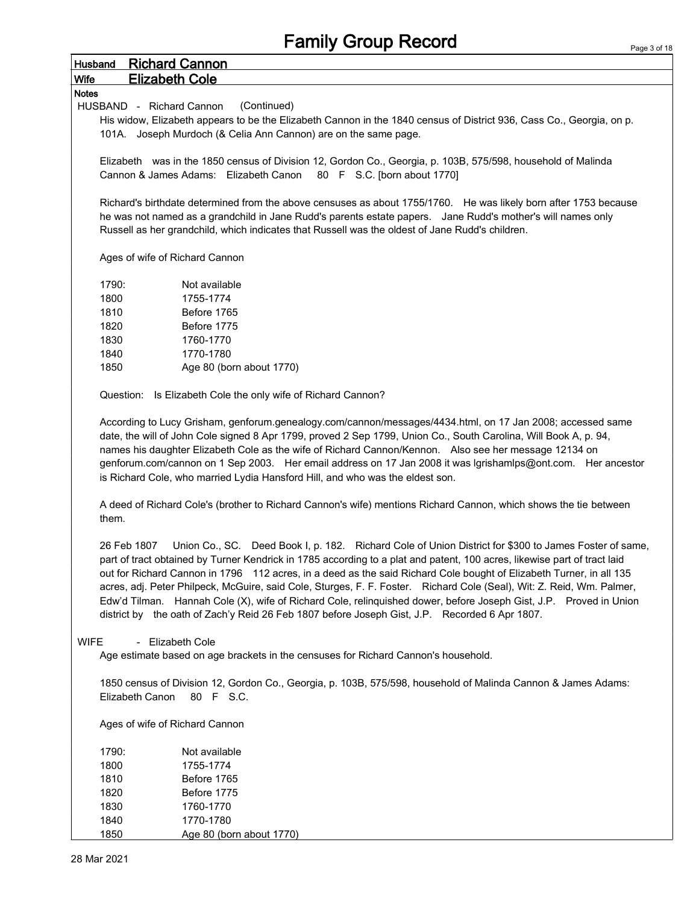## Family Group Record Husband Richard Cannon Wife Elizabeth Cole Notes HUSBAND - Richard Cannon (Continued) His widow, Elizabeth appears to be the Elizabeth Cannon in the 1840 census of District 936, Cass Co., Georgia, on p. 101A. Joseph Murdoch (& Celia Ann Cannon) are on the same page. Elizabeth was in the 1850 census of Division 12, Gordon Co., Georgia, p. 103B, 575/598, household of Malinda Cannon & James Adams: Elizabeth Canon 80 F S.C. [born about 1770] Richard's birthdate determined from the above censuses as about 1755/1760. He was likely born after 1753 because he was not named as a grandchild in Jane Rudd's parents estate papers. Jane Rudd's mother's will names only Russell as her grandchild, which indicates that Russell was the oldest of Jane Rudd's children. Ages of wife of Richard Cannon 1790: Not available 1800 1755-1774 1810 Before 1765 1820 Before 1775 1830 1760-1770 1840 1770-1780 1850 Age 80 (born about 1770) Question: Is Elizabeth Cole the only wife of Richard Cannon? According to Lucy Grisham, genforum.genealogy.com/cannon/messages/4434.html, on 17 Jan 2008; accessed same date, the will of John Cole signed 8 Apr 1799, proved 2 Sep 1799, Union Co., South Carolina, Will Book A, p. 94, names his daughter Elizabeth Cole as the wife of Richard Cannon/Kennon. Also see her message 12134 on genforum.com/cannon on 1 Sep 2003. Her email address on 17 Jan 2008 it was lgrishamlps@ont.com. Her ancestor is Richard Cole, who married Lydia Hansford Hill, and who was the eldest son. A deed of Richard Cole's (brother to Richard Cannon's wife) mentions Richard Cannon, which shows the tie between them. 26 Feb 1807 Union Co., SC. Deed Book I, p. 182. Richard Cole of Union District for \$300 to James Foster of same, part of tract obtained by Turner Kendrick in 1785 according to a plat and patent, 100 acres, likewise part of tract laid out for Richard Cannon in 1796 112 acres, in a deed as the said Richard Cole bought of Elizabeth Turner, in all 135 acres, adj. Peter Philpeck, McGuire, said Cole, Sturges, F. F. Foster. Richard Cole (Seal), Wit: Z. Reid, Wm. Palmer, Edw'd Tilman. Hannah Cole (X), wife of Richard Cole, relinquished dower, before Joseph Gist, J.P. Proved in Union district by the oath of Zach'y Reid 26 Feb 1807 before Joseph Gist, J.P. Recorded 6 Apr 1807. WIFE - Elizabeth Cole Age estimate based on age brackets in the censuses for Richard Cannon's household.

1850 census of Division 12, Gordon Co., Georgia, p. 103B, 575/598, household of Malinda Cannon & James Adams: Elizabeth Canon 80 F S.C.

Ages of wife of Richard Cannon

| 1790: | Not available            |
|-------|--------------------------|
| 1800  | 1755-1774                |
| 1810  | Before 1765              |
| 1820  | Before 1775              |
| 1830  | 1760-1770                |
| 1840  | 1770-1780                |
| 1850  | Age 80 (born about 1770) |
|       |                          |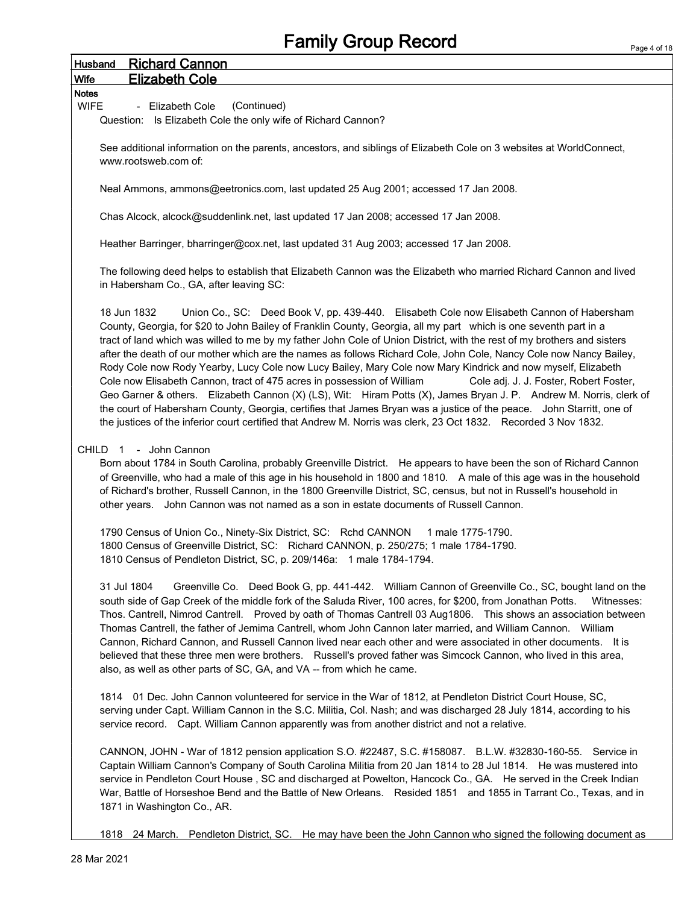|                             | <b>Family Group Record</b>                                                                                                                                                                                                                                                                                                                                                                                                                                                                                                                                                                                                                                                                                                                                                                                                                                                                                                                                                                                                                                                        | Page 4 of 1 |
|-----------------------------|-----------------------------------------------------------------------------------------------------------------------------------------------------------------------------------------------------------------------------------------------------------------------------------------------------------------------------------------------------------------------------------------------------------------------------------------------------------------------------------------------------------------------------------------------------------------------------------------------------------------------------------------------------------------------------------------------------------------------------------------------------------------------------------------------------------------------------------------------------------------------------------------------------------------------------------------------------------------------------------------------------------------------------------------------------------------------------------|-------------|
| Husband                     | <b>Richard Cannon</b>                                                                                                                                                                                                                                                                                                                                                                                                                                                                                                                                                                                                                                                                                                                                                                                                                                                                                                                                                                                                                                                             |             |
| <b>Wife</b>                 | <b>Elizabeth Cole</b>                                                                                                                                                                                                                                                                                                                                                                                                                                                                                                                                                                                                                                                                                                                                                                                                                                                                                                                                                                                                                                                             |             |
| <b>Notes</b><br><b>WIFE</b> | (Continued)<br>- Elizabeth Cole<br>Question: Is Elizabeth Cole the only wife of Richard Cannon?                                                                                                                                                                                                                                                                                                                                                                                                                                                                                                                                                                                                                                                                                                                                                                                                                                                                                                                                                                                   |             |
|                             | See additional information on the parents, ancestors, and siblings of Elizabeth Cole on 3 websites at WorldConnect,<br>www.rootsweb.com of:                                                                                                                                                                                                                                                                                                                                                                                                                                                                                                                                                                                                                                                                                                                                                                                                                                                                                                                                       |             |
|                             | Neal Ammons, ammons@eetronics.com, last updated 25 Aug 2001; accessed 17 Jan 2008.                                                                                                                                                                                                                                                                                                                                                                                                                                                                                                                                                                                                                                                                                                                                                                                                                                                                                                                                                                                                |             |
|                             | Chas Alcock, alcock@suddenlink.net, last updated 17 Jan 2008; accessed 17 Jan 2008.                                                                                                                                                                                                                                                                                                                                                                                                                                                                                                                                                                                                                                                                                                                                                                                                                                                                                                                                                                                               |             |
|                             | Heather Barringer, bharringer@cox.net, last updated 31 Aug 2003; accessed 17 Jan 2008.                                                                                                                                                                                                                                                                                                                                                                                                                                                                                                                                                                                                                                                                                                                                                                                                                                                                                                                                                                                            |             |
|                             | The following deed helps to establish that Elizabeth Cannon was the Elizabeth who married Richard Cannon and lived<br>in Habersham Co., GA, after leaving SC:                                                                                                                                                                                                                                                                                                                                                                                                                                                                                                                                                                                                                                                                                                                                                                                                                                                                                                                     |             |
|                             | 18 Jun 1832<br>Union Co., SC: Deed Book V, pp. 439-440. Elisabeth Cole now Elisabeth Cannon of Habersham<br>County, Georgia, for \$20 to John Bailey of Franklin County, Georgia, all my part which is one seventh part in a<br>tract of land which was willed to me by my father John Cole of Union District, with the rest of my brothers and sisters<br>after the death of our mother which are the names as follows Richard Cole, John Cole, Nancy Cole now Nancy Bailey,<br>Rody Cole now Rody Yearby, Lucy Cole now Lucy Bailey, Mary Cole now Mary Kindrick and now myself, Elizabeth<br>Cole now Elisabeth Cannon, tract of 475 acres in possession of William<br>Cole adj. J. J. Foster, Robert Foster,<br>Geo Garner & others. Elizabeth Cannon (X) (LS), Wit: Hiram Potts (X), James Bryan J. P. Andrew M. Norris, clerk of<br>the court of Habersham County, Georgia, certifies that James Bryan was a justice of the peace. John Starritt, one of<br>the justices of the inferior court certified that Andrew M. Norris was clerk, 23 Oct 1832. Recorded 3 Nov 1832. |             |
|                             | CHILD 1 - John Cannon<br>Born about 1784 in South Carolina, probably Greenville District. He appears to have been the son of Richard Cannon<br>of Greenville, who had a male of this age in his household in 1800 and 1810. A male of this age was in the household<br>of Richard's brother, Russell Cannon, in the 1800 Greenville District, SC, census, but not in Russell's household in<br>other years. John Cannon was not named as a son in estate documents of Russell Cannon.                                                                                                                                                                                                                                                                                                                                                                                                                                                                                                                                                                                             |             |
|                             | 1790 Census of Union Co., Ninety-Six District, SC: Rchd CANNON 1 male 1775-1790.<br>1800 Census of Greenville District, SC: Richard CANNON, p. 250/275; 1 male 1784-1790.<br>1810 Census of Pendleton District, SC, p. 209/146a: 1 male 1784-1794.                                                                                                                                                                                                                                                                                                                                                                                                                                                                                                                                                                                                                                                                                                                                                                                                                                |             |
|                             | 31 Jul 1804<br>Greenville Co. Deed Book G, pp. 441-442. William Cannon of Greenville Co., SC, bought land on the<br>south side of Gap Creek of the middle fork of the Saluda River, 100 acres, for \$200, from Jonathan Potts.<br>Witnesses:<br>Thos. Cantrell, Nimrod Cantrell. Proved by oath of Thomas Cantrell 03 Aug1806. This shows an association between<br>Thomas Cantrell, the father of Jemima Cantrell, whom John Cannon later married, and William Cannon.  William<br>Cannon, Richard Cannon, and Russell Cannon lived near each other and were associated in other documents. It is<br>believed that these three men were brothers. Russell's proved father was Simcock Cannon, who lived in this area,<br>also, as well as other parts of SC, GA, and VA -- from which he came.                                                                                                                                                                                                                                                                                   |             |
|                             | 1814 01 Dec. John Cannon volunteered for service in the War of 1812, at Pendleton District Court House, SC,<br>serving under Capt. William Cannon in the S.C. Militia, Col. Nash; and was discharged 28 July 1814, according to his<br>service record. Capt. William Cannon apparently was from another district and not a relative.                                                                                                                                                                                                                                                                                                                                                                                                                                                                                                                                                                                                                                                                                                                                              |             |
|                             | CANNON, JOHN - War of 1812 pension application S.O. #22487, S.C. #158087. B.L.W. #32830-160-55. Service in<br>Captain William Cannon's Company of South Carolina Militia from 20 Jan 1814 to 28 Jul 1814. He was mustered into<br>service in Pendleton Court House, SC and discharged at Powelton, Hancock Co., GA. He served in the Creek Indian<br>War, Battle of Horseshoe Bend and the Battle of New Orleans. Resided 1851 and 1855 in Tarrant Co., Texas, and in<br>1871 in Washington Co., AR.                                                                                                                                                                                                                                                                                                                                                                                                                                                                                                                                                                              |             |

1818 24 March. Pendleton District, SC. He may have been the John Cannon who signed the following document as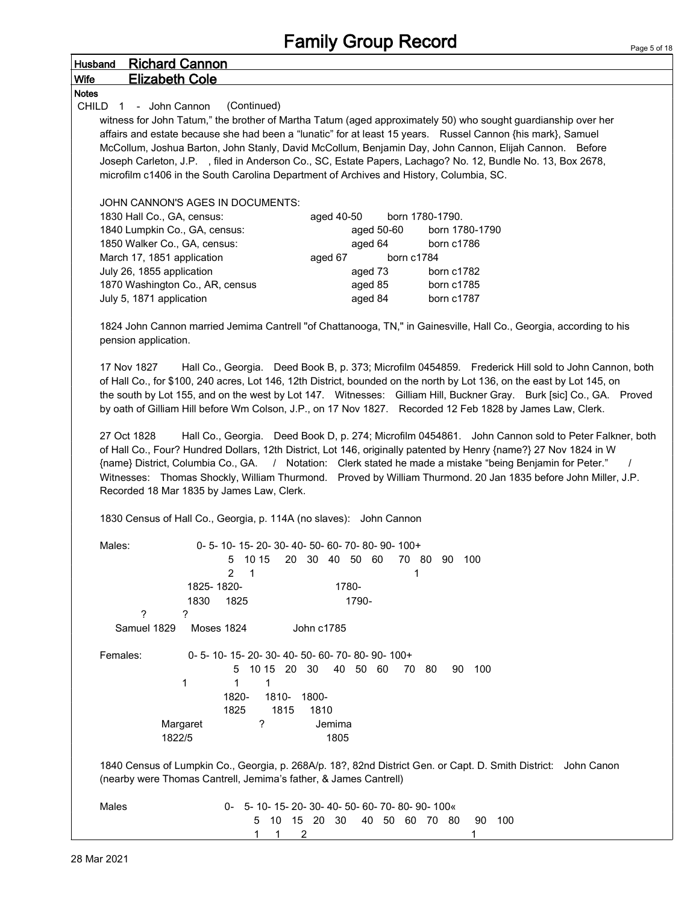### Husband Richard Cannon Wife Elizabeth Cole

#### **Notes**

CHILD 1 - John Cannon (Continued)

witness for John Tatum," the brother of Martha Tatum (aged approximately 50) who sought guardianship over her affairs and estate because she had been a "lunatic" for at least 15 years. Russel Cannon {his mark}, Samuel McCollum, Joshua Barton, John Stanly, David McCollum, Benjamin Day, John Cannon, Elijah Cannon. Before Joseph Carleton, J.P. , filed in Anderson Co., SC, Estate Papers, Lachago? No. 12, Bundle No. 13, Box 2678, microfilm c1406 in the South Carolina Department of Archives and History, Columbia, SC.

JOHN CANNON'S AGES IN DOCUMENTS:

| 1830 Hall Co., GA, census:      | aged 40-50 | born 1780-1790. |
|---------------------------------|------------|-----------------|
| 1840 Lumpkin Co., GA, census:   | aged 50-60 | born 1780-1790  |
| 1850 Walker Co., GA, census:    | aged 64    | born c1786      |
| March 17, 1851 application      | aged 67    | born c1784      |
| July 26, 1855 application       | aged 73    | born c1782      |
| 1870 Washington Co., AR, census | aged 85    | born c1785      |
| July 5, 1871 application        | aged 84    | born c1787      |

1824 John Cannon married Jemima Cantrell "of Chattanooga, TN," in Gainesville, Hall Co., Georgia, according to his pension application.

17 Nov 1827 Hall Co., Georgia. Deed Book B, p. 373; Microfilm 0454859. Frederick Hill sold to John Cannon, both of Hall Co., for \$100, 240 acres, Lot 146, 12th District, bounded on the north by Lot 136, on the east by Lot 145, on the south by Lot 155, and on the west by Lot 147. Witnesses: Gilliam Hill, Buckner Gray. Burk [sic] Co., GA. Proved by oath of Gilliam Hill before Wm Colson, J.P., on 17 Nov 1827. Recorded 12 Feb 1828 by James Law, Clerk.

27 Oct 1828 Hall Co., Georgia. Deed Book D, p. 274; Microfilm 0454861. John Cannon sold to Peter Falkner, both of Hall Co., Four? Hundred Dollars, 12th District, Lot 146, originally patented by Henry {name?} 27 Nov 1824 in W {name} District, Columbia Co., GA. / Notation: Clerk stated he made a mistake "being Benjamin for Peter." / Witnesses: Thomas Shockly, William Thurmond. Proved by William Thurmond. 20 Jan 1835 before John Miller, J.P. Recorded 18 Mar 1835 by James Law, Clerk.

1830 Census of Hall Co., Georgia, p. 114A (no slaves): John Cannon

| Males:<br>1825-1820-<br>1830                                                                                                                                                       | 0-5-10-15-20-30-40-50-60-70-80-90-100+<br>10 15<br>20<br>30<br>40<br>-50<br>70<br>-80<br>5<br>60<br>90<br>100<br>2<br>1<br>1780-<br>1790-<br>1825                     |  |  |  |  |
|------------------------------------------------------------------------------------------------------------------------------------------------------------------------------------|-----------------------------------------------------------------------------------------------------------------------------------------------------------------------|--|--|--|--|
| ?<br>?                                                                                                                                                                             |                                                                                                                                                                       |  |  |  |  |
| Samuel 1829<br><b>Moses 1824</b>                                                                                                                                                   | John c1785                                                                                                                                                            |  |  |  |  |
| Females:<br>1                                                                                                                                                                      | 0-5-10-15-20-30-40-50-60-70-80-90-100+<br>10 15 20 30<br>40<br>-50<br>-60<br>80<br>90<br>100<br>5.<br>70<br>1<br>1<br>1820-<br>1810-<br>1800-<br>1825<br>1815<br>1810 |  |  |  |  |
| Margaret                                                                                                                                                                           | ?<br>Jemima                                                                                                                                                           |  |  |  |  |
| 1822/5                                                                                                                                                                             | 1805                                                                                                                                                                  |  |  |  |  |
| 1840 Census of Lumpkin Co., Georgia, p. 268A/p. 18?, 82nd District Gen. or Capt. D. Smith District: John Canon<br>(nearby were Thomas Cantrell, Jemima's father, & James Cantrell) |                                                                                                                                                                       |  |  |  |  |
| Males                                                                                                                                                                              | 0- 5-10-15-20-30-40-50-60-70-80-90-100«<br>10<br>20<br>30<br>40<br>50<br>70<br>90<br>100<br>5<br>15<br>60<br>80<br>2<br>1                                             |  |  |  |  |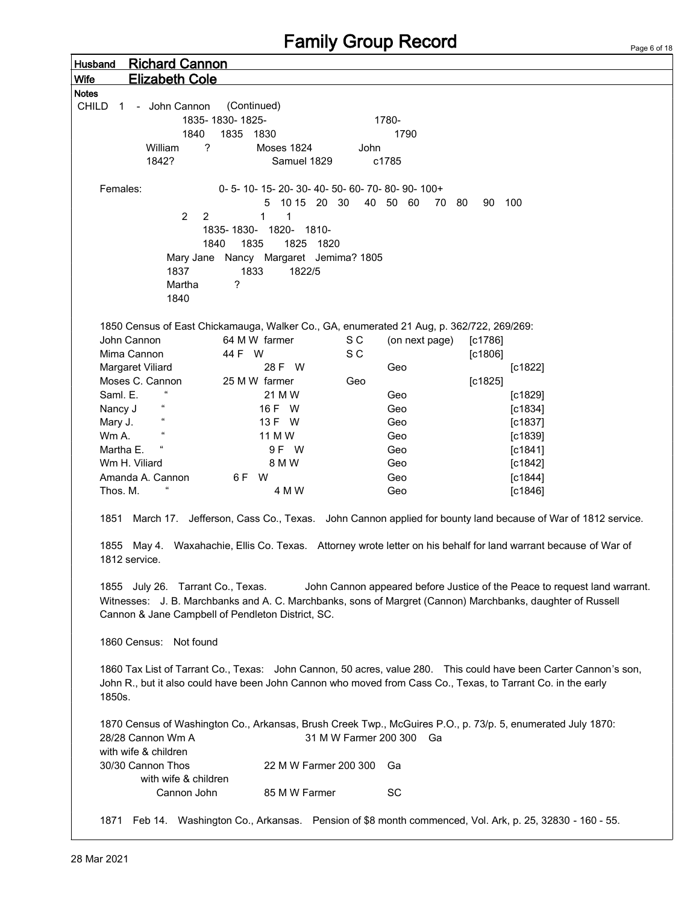| <b>Richard Cannon</b><br>Husband                                                                                       |                                       |                                        |                                                                                                                  |  |  |  |
|------------------------------------------------------------------------------------------------------------------------|---------------------------------------|----------------------------------------|------------------------------------------------------------------------------------------------------------------|--|--|--|
| <b>Elizabeth Cole</b><br><b>Wife</b>                                                                                   |                                       |                                        |                                                                                                                  |  |  |  |
| Notes                                                                                                                  |                                       |                                        |                                                                                                                  |  |  |  |
| CHILD<br>- John Cannon<br>$\overline{1}$                                                                               | (Continued)                           |                                        |                                                                                                                  |  |  |  |
|                                                                                                                        | 1835-1830-1825-                       | 1780-                                  |                                                                                                                  |  |  |  |
| 1840                                                                                                                   | 1835 1830                             | 1790                                   |                                                                                                                  |  |  |  |
| ?<br>William                                                                                                           | <b>Moses 1824</b>                     | John                                   |                                                                                                                  |  |  |  |
| 1842?                                                                                                                  | Samuel 1829                           | c1785                                  |                                                                                                                  |  |  |  |
|                                                                                                                        |                                       |                                        |                                                                                                                  |  |  |  |
| Females:                                                                                                               |                                       | 0-5-10-15-20-30-40-50-60-70-80-90-100+ |                                                                                                                  |  |  |  |
|                                                                                                                        | 10 15 20 30<br>5                      | 40 50 60                               | 100<br>70<br>- 80<br>90                                                                                          |  |  |  |
| 2<br>2                                                                                                                 | $\mathbf{1}$<br>$\mathbf{1}$          |                                        |                                                                                                                  |  |  |  |
|                                                                                                                        | 1835-1830- 1820- 1810-                |                                        |                                                                                                                  |  |  |  |
|                                                                                                                        | 1835<br>1825 1820<br>1840             |                                        |                                                                                                                  |  |  |  |
|                                                                                                                        | Mary Jane Nancy Margaret Jemima? 1805 |                                        |                                                                                                                  |  |  |  |
| 1837                                                                                                                   | 1833<br>1822/5                        |                                        |                                                                                                                  |  |  |  |
| Martha                                                                                                                 | ?                                     |                                        |                                                                                                                  |  |  |  |
| 1840                                                                                                                   |                                       |                                        |                                                                                                                  |  |  |  |
|                                                                                                                        |                                       |                                        |                                                                                                                  |  |  |  |
| 1850 Census of East Chickamauga, Walker Co., GA, enumerated 21 Aug, p. 362/722, 269/269:                               |                                       |                                        |                                                                                                                  |  |  |  |
|                                                                                                                        | 64 M W farmer                         |                                        |                                                                                                                  |  |  |  |
| John Cannon                                                                                                            |                                       | S C<br>(on next page)                  | $[c1786]$                                                                                                        |  |  |  |
| Mima Cannon                                                                                                            | 44 F W                                | S C                                    | $[c1806]$                                                                                                        |  |  |  |
| Margaret Viliard                                                                                                       | 28 F W                                | Geo                                    | [c1822]                                                                                                          |  |  |  |
| Moses C. Cannon<br>$\epsilon$                                                                                          | 25 M W farmer                         | Geo                                    | [c1825]                                                                                                          |  |  |  |
| Saml. E.                                                                                                               | 21 M W                                | Geo                                    | [c1829]                                                                                                          |  |  |  |
| $\epsilon$<br>Nancy J                                                                                                  | 16 F W                                | Geo                                    | [c1834]                                                                                                          |  |  |  |
| $\epsilon$<br>Mary J.                                                                                                  | 13 F W                                | Geo                                    | [c1837]                                                                                                          |  |  |  |
| Wm A.                                                                                                                  | 11 M W                                | Geo                                    | [c1839]                                                                                                          |  |  |  |
| Martha E.                                                                                                              | 9 F W                                 | Geo                                    | [c1841]                                                                                                          |  |  |  |
| Wm H. Viliard                                                                                                          | 8 M W                                 | Geo                                    | $[c1842]$                                                                                                        |  |  |  |
| Amanda A. Cannon                                                                                                       | 6F W                                  | Geo                                    | [c1844]                                                                                                          |  |  |  |
| Thos. M.                                                                                                               | 4 M W                                 | Geo                                    | $[c1846]$                                                                                                        |  |  |  |
|                                                                                                                        |                                       |                                        |                                                                                                                  |  |  |  |
|                                                                                                                        |                                       |                                        | 1851 March 17. Jefferson, Cass Co., Texas. John Cannon applied for bounty land because of War of 1812 service.   |  |  |  |
|                                                                                                                        |                                       |                                        |                                                                                                                  |  |  |  |
|                                                                                                                        |                                       |                                        | 1855 May 4. Waxahachie, Ellis Co. Texas. Attorney wrote letter on his behalf for land warrant because of War of  |  |  |  |
| 1812 service.                                                                                                          |                                       |                                        |                                                                                                                  |  |  |  |
|                                                                                                                        |                                       |                                        |                                                                                                                  |  |  |  |
| 1855 July 26. Tarrant Co., Texas.                                                                                      |                                       |                                        | John Cannon appeared before Justice of the Peace to request land warrant.                                        |  |  |  |
|                                                                                                                        |                                       |                                        | Witnesses: J. B. Marchbanks and A. C. Marchbanks, sons of Margret (Cannon) Marchbanks, daughter of Russell       |  |  |  |
| Cannon & Jane Campbell of Pendleton District, SC.                                                                      |                                       |                                        |                                                                                                                  |  |  |  |
|                                                                                                                        |                                       |                                        |                                                                                                                  |  |  |  |
| 1860 Census: Not found                                                                                                 |                                       |                                        |                                                                                                                  |  |  |  |
|                                                                                                                        |                                       |                                        |                                                                                                                  |  |  |  |
|                                                                                                                        |                                       |                                        | 1860 Tax List of Tarrant Co., Texas: John Cannon, 50 acres, value 280. This could have been Carter Cannon's son, |  |  |  |
|                                                                                                                        |                                       |                                        |                                                                                                                  |  |  |  |
| John R., but it also could have been John Cannon who moved from Cass Co., Texas, to Tarrant Co. in the early<br>1850s. |                                       |                                        |                                                                                                                  |  |  |  |
|                                                                                                                        |                                       |                                        |                                                                                                                  |  |  |  |
|                                                                                                                        |                                       |                                        |                                                                                                                  |  |  |  |
| 1870 Census of Washington Co., Arkansas, Brush Creek Twp., McGuires P.O., p. 73/p. 5, enumerated July 1870:            |                                       |                                        |                                                                                                                  |  |  |  |
| 28/28 Cannon Wm A                                                                                                      |                                       | 31 M W Farmer 200 300 Ga               |                                                                                                                  |  |  |  |
| with wife & children                                                                                                   |                                       |                                        |                                                                                                                  |  |  |  |
| 30/30 Cannon Thos                                                                                                      | 22 M W Farmer 200 300                 | Ga                                     |                                                                                                                  |  |  |  |
| with wife & children                                                                                                   |                                       |                                        |                                                                                                                  |  |  |  |
| Cannon John                                                                                                            | 85 M W Farmer                         | <b>SC</b>                              |                                                                                                                  |  |  |  |
|                                                                                                                        |                                       |                                        |                                                                                                                  |  |  |  |
|                                                                                                                        |                                       |                                        | 1871 Feb 14. Washington Co., Arkansas. Pension of \$8 month commenced, Vol. Ark, p. 25, 32830 - 160 - 55.        |  |  |  |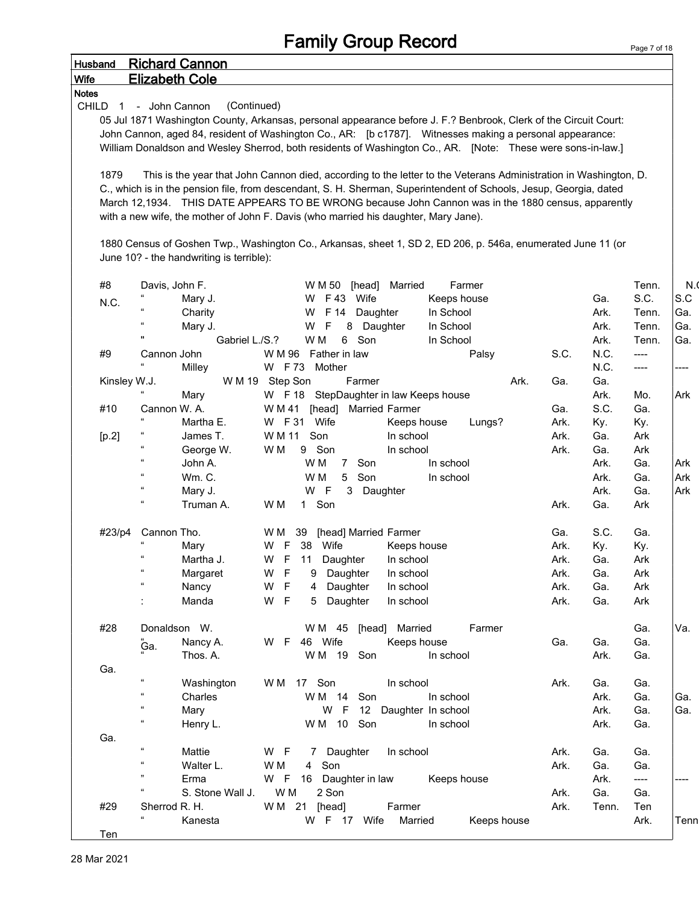|                                |                            |                                          | <b>Family Group Record</b>                                                                                         |                    | Page 7 of 18   |
|--------------------------------|----------------------------|------------------------------------------|--------------------------------------------------------------------------------------------------------------------|--------------------|----------------|
| <b>Husband</b>                 |                            | <b>Richard Cannon</b>                    |                                                                                                                    |                    |                |
| Wife                           | <b>Elizabeth Cole</b>      |                                          |                                                                                                                    |                    |                |
| <b>Notes</b>                   |                            |                                          |                                                                                                                    |                    |                |
| <b>CHILD</b><br>$\overline{1}$ | - John Cannon              | (Continued)                              |                                                                                                                    |                    |                |
|                                |                            |                                          | 05 Jul 1871 Washington County, Arkansas, personal appearance before J. F.? Benbrook, Clerk of the Circuit Court:   |                    |                |
|                                |                            |                                          | John Cannon, aged 84, resident of Washington Co., AR: [b c1787]. Witnesses making a personal appearance:           |                    |                |
|                                |                            |                                          | William Donaldson and Wesley Sherrod, both residents of Washington Co., AR. [Note: These were sons-in-law.]        |                    |                |
|                                |                            |                                          |                                                                                                                    |                    |                |
| 1879                           |                            |                                          | This is the year that John Cannon died, according to the letter to the Veterans Administration in Washington, D.   |                    |                |
|                                |                            |                                          | C., which is in the pension file, from descendant, S. H. Sherman, Superintendent of Schools, Jesup, Georgia, dated |                    |                |
|                                |                            |                                          | March 12,1934. THIS DATE APPEARS TO BE WRONG because John Cannon was in the 1880 census, apparently                |                    |                |
|                                |                            |                                          | with a new wife, the mother of John F. Davis (who married his daughter, Mary Jane).                                |                    |                |
|                                |                            |                                          |                                                                                                                    |                    |                |
|                                |                            | June 10? - the handwriting is terrible): | 1880 Census of Goshen Twp., Washington Co., Arkansas, sheet 1, SD 2, ED 206, p. 546a, enumerated June 11 (or       |                    |                |
|                                |                            |                                          |                                                                                                                    |                    |                |
| #8                             | Davis, John F.             |                                          | Farmer<br>W M 50<br>[head]<br>Married                                                                              | Tenn.              | N <sub>1</sub> |
|                                |                            | Mary J.                                  | W F43 Wife<br>Keeps house                                                                                          | S.C.<br>Ga.        | S.C            |
| N.C.                           |                            | Charity                                  | In School<br>W F 14<br>Daughter                                                                                    | Ark.<br>Tenn.      | Ga.            |
|                                |                            | Mary J.                                  | 8<br>Daughter<br>In School<br>W<br>F                                                                               | Ark.<br>Tenn.      | Ga.            |
|                                | $\pmb{\mathsf{H}}$         | Gabriel L./S.?                           | Son<br>W M<br>6<br>In School                                                                                       | Ark.<br>Tenn.      | Ga.            |
| #9                             | Cannon John                |                                          | W M 96 Father in law<br>S.C.<br>Palsy                                                                              | N.C.<br>----       |                |
|                                |                            | Milley                                   | W F73 Mother                                                                                                       | N.C.<br>----       | ----           |
| Kinsley W.J.                   |                            |                                          | W M 19 Step Son<br>Ark.<br>Farmer<br>Ga.                                                                           | Ga.                |                |
|                                |                            | Mary                                     | W F 18 StepDaughter in law Keeps house                                                                             | Ark.<br>Mo.        | Ark            |
| #10                            | Cannon W. A.               |                                          | <b>Married Farmer</b><br>W M 41<br>[head]<br>Ga.                                                                   | S.C.<br>Ga.        |                |
|                                | $\epsilon$                 | Martha E.                                | W F 31 Wife<br>Lungs?<br>Ark.<br>Keeps house                                                                       | Ky.<br>Ky.         |                |
| [p.2]                          |                            | James T.                                 | W M 11<br>Son<br>In school<br>Ark.                                                                                 | Ga.<br>Ark         |                |
|                                | $\epsilon\epsilon$         | George W.                                | 9 Son<br>Ark.<br>W M<br>In school                                                                                  | Ga.<br>Ark         |                |
|                                | $\alpha$                   | John A.                                  | Son<br>In school<br>W M<br>$7^{\circ}$                                                                             | Ark.<br>Ga.        | Ark            |
|                                | $\alpha$                   | <b>Wm. C.</b>                            | 5 Son<br>W M<br>In school                                                                                          | Ark.<br>Ga.        | Ark            |
|                                | $\epsilon\epsilon$         | Mary J.                                  | W F<br>3<br>Daughter                                                                                               | Ga.<br>Ark.        | Ark            |
|                                | $\epsilon\epsilon$         | Truman A.                                | W M<br>1 Son<br>Ark.                                                                                               | Ga.<br>Ark         |                |
|                                |                            |                                          |                                                                                                                    |                    |                |
| #23/p4                         | Cannon Tho.                |                                          | [head] Married Farmer<br>Ga.<br>WM 39                                                                              | S.C.<br>Ga.        |                |
|                                | $\epsilon$                 | Mary                                     | W F 38 Wife<br>Ark.<br>Keeps house                                                                                 | Ky.<br>Ky.         |                |
|                                | $\mathfrak{c}\mathfrak{c}$ | Martha J.                                | W<br>F<br>Daughter<br>In school<br>Ark.<br>11                                                                      | Ga.<br>Ark         |                |
|                                | $\epsilon\epsilon$         | Margaret                                 | F<br>W<br>Daughter<br>Ark.<br>In school<br>9                                                                       | Ga.<br>Ark         |                |
|                                | $\epsilon\epsilon$         | Nancy                                    | $\mathsf F$<br>W<br>4 Daughter<br>Ark.<br>In school                                                                | Ark<br>Ga.         |                |
|                                |                            | Manda                                    | $\mathsf F$<br>W<br>Daughter<br>Ark.<br>5<br>In school                                                             | Ga.<br>Ark         |                |
|                                |                            |                                          | Farmer                                                                                                             |                    | Va.            |
| #28                            | Donaldson W.               | Nancy A.                                 | W M 45 [head] Married<br>W F 46 Wife                                                                               | Ga.<br>Ga.         |                |
|                                | ٌGа.                       | Thos. A.                                 | Keeps house<br>Ga.<br>W M 19 Son<br>In school                                                                      | Ga.<br>Ark.<br>Ga. |                |
| Ga.                            |                            |                                          |                                                                                                                    |                    |                |
|                                | $\mathfrak{c}\mathfrak{c}$ | Washington                               | WM 17 Son<br>In school<br>Ark.                                                                                     | Ga.<br>Ga.         |                |
|                                | $\epsilon\epsilon$         | Charles                                  | Son<br>WM 14<br>In school                                                                                          | Ark.<br>Ga.        | Ga.            |
|                                | $\epsilon\epsilon$         | Mary                                     | W F<br>12 Daughter In school                                                                                       | Ga.<br>Ark.        | Ga.            |
|                                | $\epsilon\epsilon$         | Henry L.                                 | WM 10 Son<br>In school                                                                                             | Ark.<br>Ga.        |                |
| Ga.                            |                            |                                          |                                                                                                                    |                    |                |
|                                | $\mathfrak{c}\mathfrak{c}$ | Mattie                                   | W F<br>7 Daughter<br>In school<br>Ark.                                                                             | Ga.<br>Ga.         |                |
|                                | $\epsilon\epsilon$         | Walter L.                                | W M<br>4 Son<br>Ark.                                                                                               | Ga.<br>Ga.         |                |
|                                | 99                         | Erma                                     | W F<br>Daughter in law<br>16<br>Keeps house                                                                        | Ark.<br>----       | ----           |
|                                | $\mathfrak{c}\mathfrak{c}$ | S. Stone Wall J.                         | W M<br>2 Son<br>Ark.                                                                                               | Ga.<br>Ga.         |                |
| #29                            | Sherrod R. H.              |                                          | W M 21 [head]<br>Farmer<br>Ark.                                                                                    | Tenn.<br>Ten       |                |
|                                |                            | Kanesta                                  | W F 17 Wife Married<br>Keeps house                                                                                 | Ark.               | Tenn           |

Ten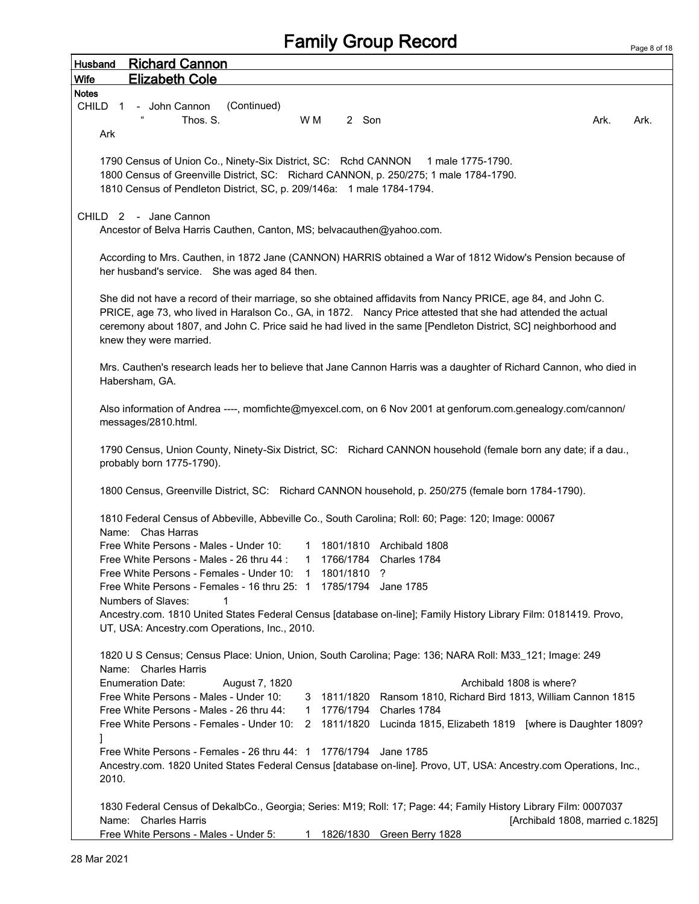Page 8 of 18

Husband Richard Cannon Wife Elizabeth Cole Notes CHILD 1 - John Cannon (Continued)  $\blacksquare$  Thos. S.  $\blacksquare$  WM  $\blacksquare$  2 Son  $\blacksquare$  Son  $\blacksquare$  Ark. Ark. Ark. Ark 1790 Census of Union Co., Ninety-Six District, SC: Rchd CANNON 1 male 1775-1790. 1800 Census of Greenville District, SC: Richard CANNON, p. 250/275; 1 male 1784-1790. 1810 Census of Pendleton District, SC, p. 209/146a: 1 male 1784-1794. CHILD 2 - Jane Cannon Ancestor of Belva Harris Cauthen, Canton, MS; belvacauthen@yahoo.com. According to Mrs. Cauthen, in 1872 Jane (CANNON) HARRIS obtained a War of 1812 Widow's Pension because of her husband's service. She was aged 84 then. She did not have a record of their marriage, so she obtained affidavits from Nancy PRICE, age 84, and John C. PRICE, age 73, who lived in Haralson Co., GA, in 1872. Nancy Price attested that she had attended the actual ceremony about 1807, and John C. Price said he had lived in the same [Pendleton District, SC] neighborhood and knew they were married. Mrs. Cauthen's research leads her to believe that Jane Cannon Harris was a daughter of Richard Cannon, who died in Habersham, GA. Also information of Andrea ----, momfichte@myexcel.com, on 6 Nov 2001 at genforum.com.genealogy.com/cannon/ messages/2810.html. 1790 Census, Union County, Ninety-Six District, SC: Richard CANNON household (female born any date; if a dau., probably born 1775-1790). 1800 Census, Greenville District, SC: Richard CANNON household, p. 250/275 (female born 1784-1790). 1810 Federal Census of Abbeville, Abbeville Co., South Carolina; Roll: 60; Page: 120; Image: 00067 Name: Chas Harras Free White Persons - Males - Under 10: 1 1801/1810 Archibald 1808 Free White Persons - Males - 26 thru 44 : 1 1766/1784 Charles 1784 Free White Persons - Females - Under 10: 1 1801/1810 ? Free White Persons - Females - 16 thru 25: 1 1785/1794 Jane 1785 Numbers of Slaves: 1 Ancestry.com. 1810 United States Federal Census [database on-line]; Family History Library Film: 0181419. Provo, UT, USA: Ancestry.com Operations, Inc., 2010. 1820 U S Census; Census Place: Union, Union, South Carolina; Page: 136; NARA Roll: M33\_121; Image: 249 Name: Charles Harris Enumeration Date: August 7, 1820 Archibald 1808 is where? Free White Persons - Males - Under 10: 3 1811/1820 Ransom 1810, Richard Bird 1813, William Cannon 1815 Free White Persons - Males - 26 thru 44: 1 1776/1794 Charles 1784 Free White Persons - Females - Under 10: 2 1811/1820 Lucinda 1815, Elizabeth 1819 [where is Daughter 1809? ] Free White Persons - Females - 26 thru 44: 1 1776/1794 Jane 1785 Ancestry.com. 1820 United States Federal Census [database on-line]. Provo, UT, USA: Ancestry.com Operations, Inc., 2010. 1830 Federal Census of DekalbCo., Georgia; Series: M19; Roll: 17; Page: 44; Family History Library Film: 0007037 Name: Charles Harris **Charles Harris Exception Control** Control of the Charles Control Control Control Control Control Control Control Control Control Control Control Control Control Control Control Control Control Control Free White Persons - Males - Under 5: 1 1826/1830 Green Berry 1828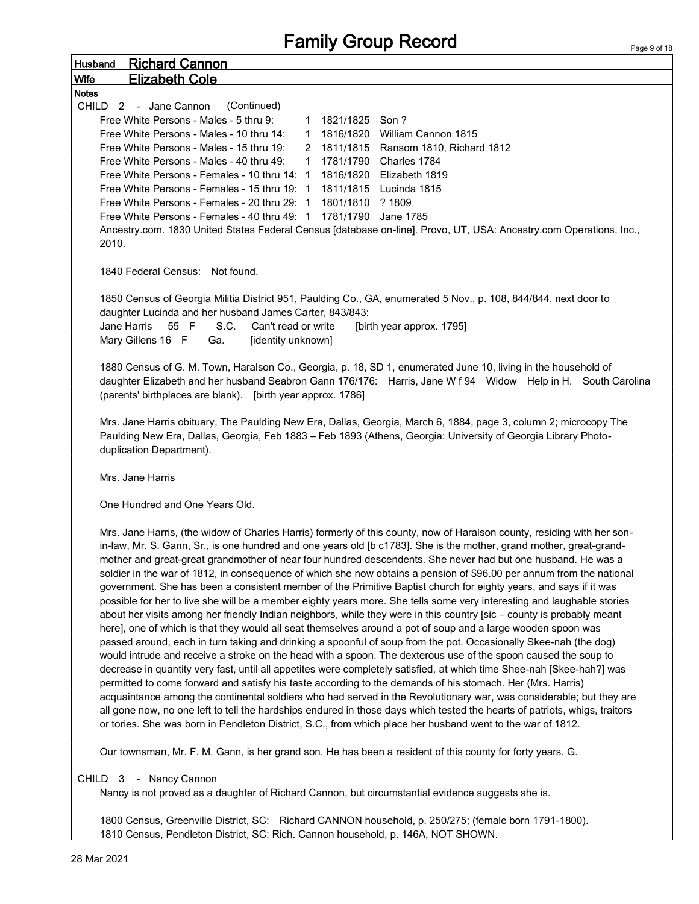| <u>Richard Cannon</u><br>Husband                                                                                           |  |  |  |  |  |  |
|----------------------------------------------------------------------------------------------------------------------------|--|--|--|--|--|--|
| <b>Elizabeth Cole</b><br>Wife                                                                                              |  |  |  |  |  |  |
| <b>Notes</b>                                                                                                               |  |  |  |  |  |  |
| CHILD 2 - Jane Cannon<br>(Continued)                                                                                       |  |  |  |  |  |  |
| Free White Persons - Males - 5 thru 9:<br>1 1821/1825 Son?                                                                 |  |  |  |  |  |  |
| Free White Persons - Males - 10 thru 14:<br>1816/1820<br>William Cannon 1815<br>$\mathbf{1}$                               |  |  |  |  |  |  |
| Free White Persons - Males - 15 thru 19:<br>2 1811/1815 Ransom 1810, Richard 1812                                          |  |  |  |  |  |  |
| Free White Persons - Males - 40 thru 49:<br>1781/1790 Charles 1784<br>$\mathbf{1}$                                         |  |  |  |  |  |  |
| Free White Persons - Females - 10 thru 14: 1<br>1816/1820 Elizabeth 1819                                                   |  |  |  |  |  |  |
| Free White Persons - Females - 15 thru 19: 1<br>1811/1815 Lucinda 1815                                                     |  |  |  |  |  |  |
| Free White Persons - Females - 20 thru 29: 1<br>1801/1810 ? 1809                                                           |  |  |  |  |  |  |
| Free White Persons - Females - 40 thru 49: 1 1781/1790 Jane 1785                                                           |  |  |  |  |  |  |
| Ancestry.com. 1830 United States Federal Census [database on-line]. Provo, UT, USA: Ancestry.com Operations, Inc.,         |  |  |  |  |  |  |
| 2010.                                                                                                                      |  |  |  |  |  |  |
|                                                                                                                            |  |  |  |  |  |  |
| 1840 Federal Census: Not found.                                                                                            |  |  |  |  |  |  |
|                                                                                                                            |  |  |  |  |  |  |
| 1850 Census of Georgia Militia District 951, Paulding Co., GA, enumerated 5 Nov., p. 108, 844/844, next door to            |  |  |  |  |  |  |
| daughter Lucinda and her husband James Carter, 843/843:                                                                    |  |  |  |  |  |  |
| Jane Harris<br>S.C.<br>Can't read or write<br>55 F<br>[birth year approx. 1795]                                            |  |  |  |  |  |  |
| Mary Gillens 16 F<br>[identity unknown]<br>Ga.                                                                             |  |  |  |  |  |  |
|                                                                                                                            |  |  |  |  |  |  |
| 1880 Census of G. M. Town, Haralson Co., Georgia, p. 18, SD 1, enumerated June 10, living in the household of              |  |  |  |  |  |  |
| daughter Elizabeth and her husband Seabron Gann 176/176: Harris, Jane W f 94 Widow Help in H. South Carolina               |  |  |  |  |  |  |
| (parents' birthplaces are blank). [birth year approx. 1786]                                                                |  |  |  |  |  |  |
|                                                                                                                            |  |  |  |  |  |  |
| Mrs. Jane Harris obituary, The Paulding New Era, Dallas, Georgia, March 6, 1884, page 3, column 2; microcopy The           |  |  |  |  |  |  |
| Paulding New Era, Dallas, Georgia, Feb 1883 - Feb 1893 (Athens, Georgia: University of Georgia Library Photo-              |  |  |  |  |  |  |
| duplication Department).                                                                                                   |  |  |  |  |  |  |
|                                                                                                                            |  |  |  |  |  |  |
| Mrs. Jane Harris                                                                                                           |  |  |  |  |  |  |
|                                                                                                                            |  |  |  |  |  |  |
| One Hundred and One Years Old.                                                                                             |  |  |  |  |  |  |
|                                                                                                                            |  |  |  |  |  |  |
| Mrs. Jane Harris, (the widow of Charles Harris) formerly of this county, now of Haralson county, residing with her son-    |  |  |  |  |  |  |
| in-law, Mr. S. Gann, Sr., is one hundred and one years old [b c1783]. She is the mother, grand mother, great-grand-        |  |  |  |  |  |  |
| mother and great-great grandmother of near four hundred descendents. She never had but one husband. He was a               |  |  |  |  |  |  |
| soldier in the war of 1812, in consequence of which she now obtains a pension of \$96.00 per annum from the national       |  |  |  |  |  |  |
| government. She has been a consistent member of the Primitive Baptist church for eighty years, and says if it was          |  |  |  |  |  |  |
| possible for her to live she will be a member eighty years more. She tells some very interesting and laughable stories     |  |  |  |  |  |  |
| about her visits among her friendly Indian neighbors, while they were in this country [sic - county is probably meant      |  |  |  |  |  |  |
| here], one of which is that they would all seat themselves around a pot of soup and a large wooden spoon was               |  |  |  |  |  |  |
| passed around, each in turn taking and drinking a spoonful of soup from the pot. Occasionally Skee-nah (the dog)           |  |  |  |  |  |  |
|                                                                                                                            |  |  |  |  |  |  |
| would intrude and receive a stroke on the head with a spoon. The dexterous use of the spoon caused the soup to             |  |  |  |  |  |  |
| decrease in quantity very fast, until all appetites were completely satisfied, at which time Shee-nah [Skee-hah?] was      |  |  |  |  |  |  |
| permitted to come forward and satisfy his taste according to the demands of his stomach. Her (Mrs. Harris)                 |  |  |  |  |  |  |
| acquaintance among the continental soldiers who had served in the Revolutionary war, was considerable; but they are        |  |  |  |  |  |  |
| all gone now, no one left to tell the hardships endured in those days which tested the hearts of patriots, whigs, traitors |  |  |  |  |  |  |
| or tories. She was born in Pendleton District, S.C., from which place her husband went to the war of 1812.                 |  |  |  |  |  |  |
|                                                                                                                            |  |  |  |  |  |  |
| Our townsman, Mr. F. M. Gann, is her grand son. He has been a resident of this county for forty years. G.                  |  |  |  |  |  |  |
|                                                                                                                            |  |  |  |  |  |  |
| CHILD 3 - Nancy Cannon                                                                                                     |  |  |  |  |  |  |
| Nancy is not proved as a daughter of Richard Cannon, but circumstantial evidence suggests she is.                          |  |  |  |  |  |  |
| 1800 Census, Greenville District, SC: Richard CANNON household, p. 250/275; (female born 1791-1800).                       |  |  |  |  |  |  |

1810 Census, Pendleton District, SC: Rich. Cannon household, p. 146A, NOT SHOWN.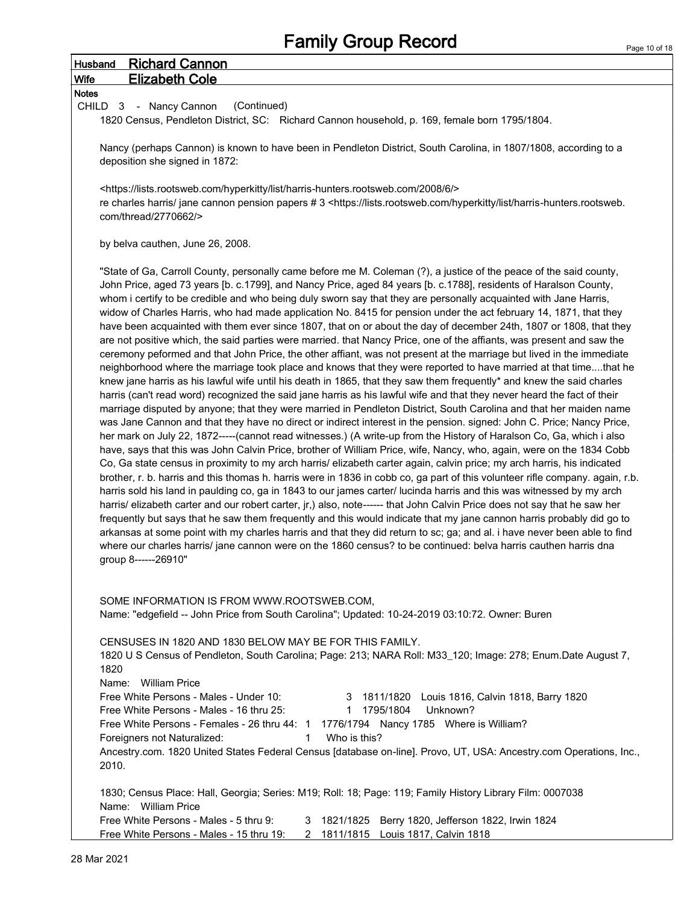| <b>Richard Cannon</b><br><b>Husband</b>                                                                                                                                                                                                                                                                                                                                                                                                                                                                                                                                                                                                                                                                                                                                                                                                                                                                                                                                                                                                                                                                                                                                                                                                                                                                                                                                                                                                                                                                                                                                                                                                                                                                                                                                                                                                                                                                                                                                                                                                                                                                                                                                                                                                                                                                                                                                                                                                                                                                                                                                                                                                        |  |
|------------------------------------------------------------------------------------------------------------------------------------------------------------------------------------------------------------------------------------------------------------------------------------------------------------------------------------------------------------------------------------------------------------------------------------------------------------------------------------------------------------------------------------------------------------------------------------------------------------------------------------------------------------------------------------------------------------------------------------------------------------------------------------------------------------------------------------------------------------------------------------------------------------------------------------------------------------------------------------------------------------------------------------------------------------------------------------------------------------------------------------------------------------------------------------------------------------------------------------------------------------------------------------------------------------------------------------------------------------------------------------------------------------------------------------------------------------------------------------------------------------------------------------------------------------------------------------------------------------------------------------------------------------------------------------------------------------------------------------------------------------------------------------------------------------------------------------------------------------------------------------------------------------------------------------------------------------------------------------------------------------------------------------------------------------------------------------------------------------------------------------------------------------------------------------------------------------------------------------------------------------------------------------------------------------------------------------------------------------------------------------------------------------------------------------------------------------------------------------------------------------------------------------------------------------------------------------------------------------------------------------------------|--|
| <b>Elizabeth Cole</b><br><b>Wife</b>                                                                                                                                                                                                                                                                                                                                                                                                                                                                                                                                                                                                                                                                                                                                                                                                                                                                                                                                                                                                                                                                                                                                                                                                                                                                                                                                                                                                                                                                                                                                                                                                                                                                                                                                                                                                                                                                                                                                                                                                                                                                                                                                                                                                                                                                                                                                                                                                                                                                                                                                                                                                           |  |
| <b>Notes</b>                                                                                                                                                                                                                                                                                                                                                                                                                                                                                                                                                                                                                                                                                                                                                                                                                                                                                                                                                                                                                                                                                                                                                                                                                                                                                                                                                                                                                                                                                                                                                                                                                                                                                                                                                                                                                                                                                                                                                                                                                                                                                                                                                                                                                                                                                                                                                                                                                                                                                                                                                                                                                                   |  |
| (Continued)<br>CHILD 3 - Nancy Cannon<br>1820 Census, Pendleton District, SC: Richard Cannon household, p. 169, female born 1795/1804.                                                                                                                                                                                                                                                                                                                                                                                                                                                                                                                                                                                                                                                                                                                                                                                                                                                                                                                                                                                                                                                                                                                                                                                                                                                                                                                                                                                                                                                                                                                                                                                                                                                                                                                                                                                                                                                                                                                                                                                                                                                                                                                                                                                                                                                                                                                                                                                                                                                                                                         |  |
| Nancy (perhaps Cannon) is known to have been in Pendleton District, South Carolina, in 1807/1808, according to a<br>deposition she signed in 1872:                                                                                                                                                                                                                                                                                                                                                                                                                                                                                                                                                                                                                                                                                                                                                                                                                                                                                                                                                                                                                                                                                                                                                                                                                                                                                                                                                                                                                                                                                                                                                                                                                                                                                                                                                                                                                                                                                                                                                                                                                                                                                                                                                                                                                                                                                                                                                                                                                                                                                             |  |
| <https: 2008="" 6="" harris-hunters.rootsweb.com="" hyperkitty="" list="" lists.rootsweb.com=""></https:>                                                                                                                                                                                                                                                                                                                                                                                                                                                                                                                                                                                                                                                                                                                                                                                                                                                                                                                                                                                                                                                                                                                                                                                                                                                                                                                                                                                                                                                                                                                                                                                                                                                                                                                                                                                                                                                                                                                                                                                                                                                                                                                                                                                                                                                                                                                                                                                                                                                                                                                                      |  |
| re charles harris/ jane cannon pension papers # 3 <https: harris-hunters.rootsweb.<br="" hyperkitty="" list="" lists.rootsweb.com="">com/thread/2770662/&gt;</https:>                                                                                                                                                                                                                                                                                                                                                                                                                                                                                                                                                                                                                                                                                                                                                                                                                                                                                                                                                                                                                                                                                                                                                                                                                                                                                                                                                                                                                                                                                                                                                                                                                                                                                                                                                                                                                                                                                                                                                                                                                                                                                                                                                                                                                                                                                                                                                                                                                                                                          |  |
| by belva cauthen, June 26, 2008.                                                                                                                                                                                                                                                                                                                                                                                                                                                                                                                                                                                                                                                                                                                                                                                                                                                                                                                                                                                                                                                                                                                                                                                                                                                                                                                                                                                                                                                                                                                                                                                                                                                                                                                                                                                                                                                                                                                                                                                                                                                                                                                                                                                                                                                                                                                                                                                                                                                                                                                                                                                                               |  |
| "State of Ga, Carroll County, personally came before me M. Coleman (?), a justice of the peace of the said county,<br>John Price, aged 73 years [b. c.1799], and Nancy Price, aged 84 years [b. c.1788], residents of Haralson County,<br>whom i certify to be credible and who being duly sworn say that they are personally acquainted with Jane Harris,<br>widow of Charles Harris, who had made application No. 8415 for pension under the act february 14, 1871, that they<br>have been acquainted with them ever since 1807, that on or about the day of december 24th, 1807 or 1808, that they<br>are not positive which, the said parties were married. that Nancy Price, one of the affiants, was present and saw the<br>ceremony peformed and that John Price, the other affiant, was not present at the marriage but lived in the immediate<br>neighborhood where the marriage took place and knows that they were reported to have married at that timethat he<br>knew jane harris as his lawful wife until his death in 1865, that they saw them frequently* and knew the said charles<br>harris (can't read word) recognized the said jane harris as his lawful wife and that they never heard the fact of their<br>marriage disputed by anyone; that they were married in Pendleton District, South Carolina and that her maiden name<br>was Jane Cannon and that they have no direct or indirect interest in the pension. signed: John C. Price; Nancy Price,<br>her mark on July 22, 1872-----(cannot read witnesses.) (A write-up from the History of Haralson Co, Ga, which i also<br>have, says that this was John Calvin Price, brother of William Price, wife, Nancy, who, again, were on the 1834 Cobb<br>Co, Ga state census in proximity to my arch harris/ elizabeth carter again, calvin price; my arch harris, his indicated<br>brother, r. b. harris and this thomas h. harris were in 1836 in cobb co, ga part of this volunteer rifle company. again, r.b.<br>harris sold his land in paulding co, ga in 1843 to our james carter/ lucinda harris and this was witnessed by my arch<br>harris/ elizabeth carter and our robert carter, jr,) also, note------ that John Calvin Price does not say that he saw her<br>frequently but says that he saw them frequently and this would indicate that my jane cannon harris probably did go to<br>arkansas at some point with my charles harris and that they did return to sc; ga; and al. i have never been able to find<br>where our charles harris/ jane cannon were on the 1860 census? to be continued: belva harris cauthen harris dna<br>group 8------26910" |  |
| SOME INFORMATION IS FROM WWW.ROOTSWEB.COM.<br>Name: "edgefield -- John Price from South Carolina"; Updated: 10-24-2019 03:10:72. Owner: Buren                                                                                                                                                                                                                                                                                                                                                                                                                                                                                                                                                                                                                                                                                                                                                                                                                                                                                                                                                                                                                                                                                                                                                                                                                                                                                                                                                                                                                                                                                                                                                                                                                                                                                                                                                                                                                                                                                                                                                                                                                                                                                                                                                                                                                                                                                                                                                                                                                                                                                                  |  |
| CENSUSES IN 1820 AND 1830 BELOW MAY BE FOR THIS FAMILY.<br>1820 U S Census of Pendleton, South Carolina; Page: 213; NARA Roll: M33_120; Image: 278; Enum.Date August 7,<br>1820                                                                                                                                                                                                                                                                                                                                                                                                                                                                                                                                                                                                                                                                                                                                                                                                                                                                                                                                                                                                                                                                                                                                                                                                                                                                                                                                                                                                                                                                                                                                                                                                                                                                                                                                                                                                                                                                                                                                                                                                                                                                                                                                                                                                                                                                                                                                                                                                                                                                |  |
| Name: William Price<br>Free White Persons - Males - Under 10:<br>3 1811/1820 Louis 1816, Calvin 1818, Barry 1820<br>Unknown?<br>Free White Persons - Males - 16 thru 25:<br>1 1795/1804                                                                                                                                                                                                                                                                                                                                                                                                                                                                                                                                                                                                                                                                                                                                                                                                                                                                                                                                                                                                                                                                                                                                                                                                                                                                                                                                                                                                                                                                                                                                                                                                                                                                                                                                                                                                                                                                                                                                                                                                                                                                                                                                                                                                                                                                                                                                                                                                                                                        |  |
| Free White Persons - Females - 26 thru 44: 1 1776/1794 Nancy 1785 Where is William?                                                                                                                                                                                                                                                                                                                                                                                                                                                                                                                                                                                                                                                                                                                                                                                                                                                                                                                                                                                                                                                                                                                                                                                                                                                                                                                                                                                                                                                                                                                                                                                                                                                                                                                                                                                                                                                                                                                                                                                                                                                                                                                                                                                                                                                                                                                                                                                                                                                                                                                                                            |  |
| Who is this?<br>Foreigners not Naturalized:<br>1.<br>Ancestry.com. 1820 United States Federal Census [database on-line]. Provo, UT, USA: Ancestry.com Operations, Inc.,<br>2010.                                                                                                                                                                                                                                                                                                                                                                                                                                                                                                                                                                                                                                                                                                                                                                                                                                                                                                                                                                                                                                                                                                                                                                                                                                                                                                                                                                                                                                                                                                                                                                                                                                                                                                                                                                                                                                                                                                                                                                                                                                                                                                                                                                                                                                                                                                                                                                                                                                                               |  |
| 1830; Census Place: Hall, Georgia; Series: M19; Roll: 18; Page: 119; Family History Library Film: 0007038<br>Name: William Price                                                                                                                                                                                                                                                                                                                                                                                                                                                                                                                                                                                                                                                                                                                                                                                                                                                                                                                                                                                                                                                                                                                                                                                                                                                                                                                                                                                                                                                                                                                                                                                                                                                                                                                                                                                                                                                                                                                                                                                                                                                                                                                                                                                                                                                                                                                                                                                                                                                                                                               |  |
| Free White Persons - Males - 5 thru 9:<br>3 1821/1825 Berry 1820, Jefferson 1822, Irwin 1824<br>Free White Persons - Males - 15 thru 19: 2 1811/1815 Louis 1817, Calvin 1818                                                                                                                                                                                                                                                                                                                                                                                                                                                                                                                                                                                                                                                                                                                                                                                                                                                                                                                                                                                                                                                                                                                                                                                                                                                                                                                                                                                                                                                                                                                                                                                                                                                                                                                                                                                                                                                                                                                                                                                                                                                                                                                                                                                                                                                                                                                                                                                                                                                                   |  |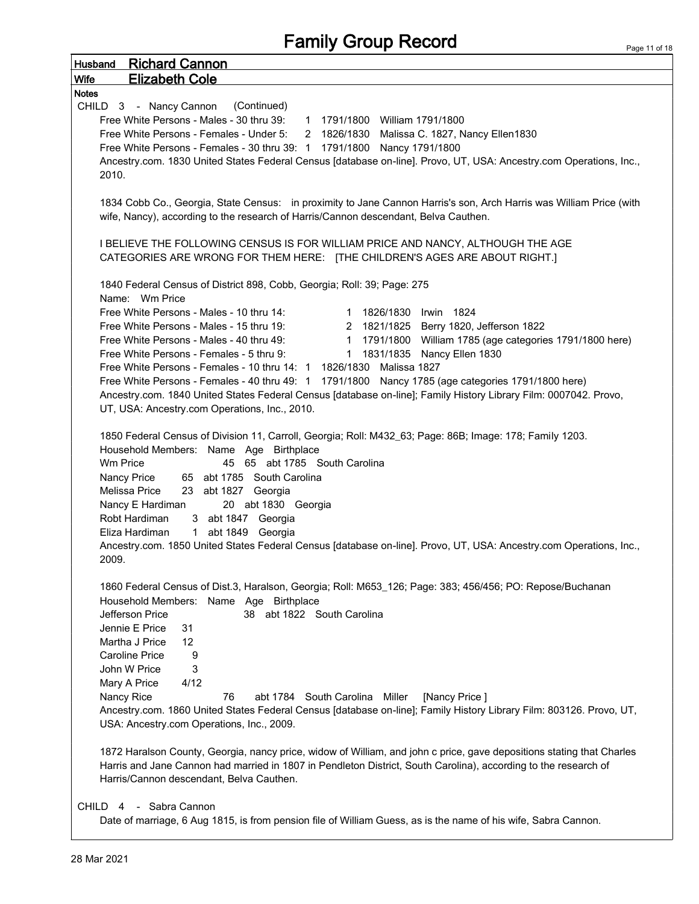|                      | <b>Husband</b> Richard Cannon                                                                                                                                                                                                                                                                                                                                                                                                                                                                                                        |
|----------------------|--------------------------------------------------------------------------------------------------------------------------------------------------------------------------------------------------------------------------------------------------------------------------------------------------------------------------------------------------------------------------------------------------------------------------------------------------------------------------------------------------------------------------------------|
| Wife<br><b>Notes</b> | <b>Elizabeth Cole</b>                                                                                                                                                                                                                                                                                                                                                                                                                                                                                                                |
|                      | CHILD 3 - Nancy Cannon<br>(Continued)                                                                                                                                                                                                                                                                                                                                                                                                                                                                                                |
|                      | Free White Persons - Males - 30 thru 39: 1 1791/1800 William 1791/1800                                                                                                                                                                                                                                                                                                                                                                                                                                                               |
|                      | Free White Persons - Females - Under 5: 2 1826/1830 Malissa C. 1827, Nancy Ellen1830                                                                                                                                                                                                                                                                                                                                                                                                                                                 |
|                      | Free White Persons - Females - 30 thru 39: 1 1791/1800 Nancy 1791/1800                                                                                                                                                                                                                                                                                                                                                                                                                                                               |
|                      | Ancestry.com. 1830 United States Federal Census [database on-line]. Provo, UT, USA: Ancestry.com Operations, Inc.,                                                                                                                                                                                                                                                                                                                                                                                                                   |
| 2010.                |                                                                                                                                                                                                                                                                                                                                                                                                                                                                                                                                      |
|                      | 1834 Cobb Co., Georgia, State Census: in proximity to Jane Cannon Harris's son, Arch Harris was William Price (with<br>wife, Nancy), according to the research of Harris/Cannon descendant, Belva Cauthen.                                                                                                                                                                                                                                                                                                                           |
|                      | I BELIEVE THE FOLLOWING CENSUS IS FOR WILLIAM PRICE AND NANCY, ALTHOUGH THE AGE                                                                                                                                                                                                                                                                                                                                                                                                                                                      |
|                      | CATEGORIES ARE WRONG FOR THEM HERE: [THE CHILDREN'S AGES ARE ABOUT RIGHT.]                                                                                                                                                                                                                                                                                                                                                                                                                                                           |
|                      | 1840 Federal Census of District 898, Cobb, Georgia; Roll: 39; Page: 275                                                                                                                                                                                                                                                                                                                                                                                                                                                              |
|                      | Name: Wm Price<br>Free White Persons - Males - 10 thru 14:<br>1 1826/1830 Irwin 1824                                                                                                                                                                                                                                                                                                                                                                                                                                                 |
|                      | Free White Persons - Males - 15 thru 19:<br>2 1821/1825 Berry 1820, Jefferson 1822                                                                                                                                                                                                                                                                                                                                                                                                                                                   |
|                      | Free White Persons - Males - 40 thru 49:<br>1 1791/1800 William 1785 (age categories 1791/1800 here)                                                                                                                                                                                                                                                                                                                                                                                                                                 |
|                      | Free White Persons - Females - 5 thru 9:<br>1 1831/1835 Nancy Ellen 1830                                                                                                                                                                                                                                                                                                                                                                                                                                                             |
|                      | Free White Persons - Females - 10 thru 14: 1 1826/1830 Malissa 1827                                                                                                                                                                                                                                                                                                                                                                                                                                                                  |
|                      | Free White Persons - Females - 40 thru 49: 1 1791/1800 Nancy 1785 (age categories 1791/1800 here)                                                                                                                                                                                                                                                                                                                                                                                                                                    |
|                      | Ancestry.com. 1840 United States Federal Census [database on-line]; Family History Library Film: 0007042. Provo,                                                                                                                                                                                                                                                                                                                                                                                                                     |
|                      | UT, USA: Ancestry.com Operations, Inc., 2010.                                                                                                                                                                                                                                                                                                                                                                                                                                                                                        |
| 2009.                | 1850 Federal Census of Division 11, Carroll, Georgia; Roll: M432_63; Page: 86B; Image: 178; Family 1203.<br>Household Members: Name Age Birthplace<br>Wm Price<br>45 65 abt 1785 South Carolina<br>Nancy Price<br>65 abt 1785 South Carolina<br>Melissa Price<br>23 abt 1827 Georgia<br>Nancy E Hardiman<br>20 abt 1830 Georgia<br>Robt Hardiman<br>3 abt 1847 Georgia<br>Eliza Hardiman<br>1 abt 1849 Georgia<br>Ancestry.com. 1850 United States Federal Census [database on-line]. Provo, UT, USA: Ancestry.com Operations, Inc., |
|                      | 1860 Federal Census of Dist.3, Haralson, Georgia; Roll: M653_126; Page: 383; 456/456; PO: Repose/Buchanan                                                                                                                                                                                                                                                                                                                                                                                                                            |
|                      | Household Members: Name Age Birthplace                                                                                                                                                                                                                                                                                                                                                                                                                                                                                               |
|                      | Jefferson Price<br>38 abt 1822 South Carolina                                                                                                                                                                                                                                                                                                                                                                                                                                                                                        |
|                      | Jennie E Price<br>31                                                                                                                                                                                                                                                                                                                                                                                                                                                                                                                 |
|                      | $12 \overline{ }$<br>Martha J Price                                                                                                                                                                                                                                                                                                                                                                                                                                                                                                  |
|                      | 9<br>Caroline Price                                                                                                                                                                                                                                                                                                                                                                                                                                                                                                                  |
|                      | 3<br>John W Price                                                                                                                                                                                                                                                                                                                                                                                                                                                                                                                    |
|                      | 4/12<br>Mary A Price                                                                                                                                                                                                                                                                                                                                                                                                                                                                                                                 |
|                      | Nancy Rice<br>76<br>abt 1784 South Carolina Miller<br>[Nancy Price]                                                                                                                                                                                                                                                                                                                                                                                                                                                                  |
|                      | Ancestry.com. 1860 United States Federal Census [database on-line]; Family History Library Film: 803126. Provo, UT,<br>USA: Ancestry.com Operations, Inc., 2009.                                                                                                                                                                                                                                                                                                                                                                     |
|                      |                                                                                                                                                                                                                                                                                                                                                                                                                                                                                                                                      |
|                      |                                                                                                                                                                                                                                                                                                                                                                                                                                                                                                                                      |
|                      | 1872 Haralson County, Georgia, nancy price, widow of William, and john c price, gave depositions stating that Charles                                                                                                                                                                                                                                                                                                                                                                                                                |
|                      | Harris and Jane Cannon had married in 1807 in Pendleton District, South Carolina), according to the research of<br>Harris/Cannon descendant, Belva Cauthen.                                                                                                                                                                                                                                                                                                                                                                          |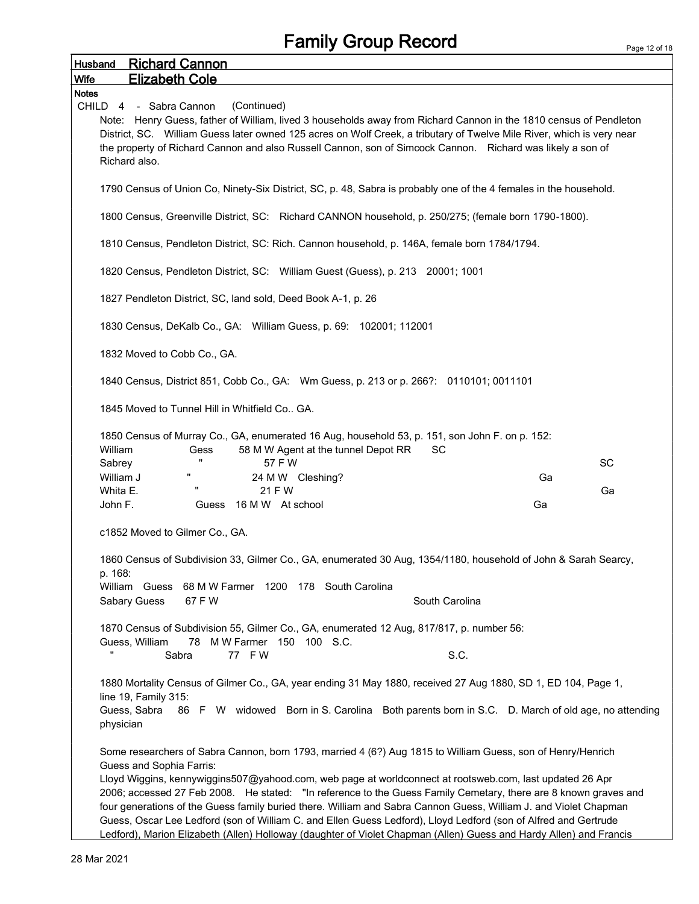| <b>Richard Cannon</b><br>Husband                                                                                                                                                                                                                                                                                                                                                                                                   |           |  |  |  |  |  |
|------------------------------------------------------------------------------------------------------------------------------------------------------------------------------------------------------------------------------------------------------------------------------------------------------------------------------------------------------------------------------------------------------------------------------------|-----------|--|--|--|--|--|
| <b>Elizabeth Cole</b><br><b>Wife</b>                                                                                                                                                                                                                                                                                                                                                                                               |           |  |  |  |  |  |
| <b>Notes</b><br>(Continued)<br>CHILD 4 - Sabra Cannon<br>Note: Henry Guess, father of William, lived 3 households away from Richard Cannon in the 1810 census of Pendleton<br>District, SC. William Guess later owned 125 acres on Wolf Creek, a tributary of Twelve Mile River, which is very near<br>the property of Richard Cannon and also Russell Cannon, son of Simcock Cannon. Richard was likely a son of<br>Richard also. |           |  |  |  |  |  |
| 1790 Census of Union Co, Ninety-Six District, SC, p. 48, Sabra is probably one of the 4 females in the household.                                                                                                                                                                                                                                                                                                                  |           |  |  |  |  |  |
| 1800 Census, Greenville District, SC: Richard CANNON household, p. 250/275; (female born 1790-1800).                                                                                                                                                                                                                                                                                                                               |           |  |  |  |  |  |
| 1810 Census, Pendleton District, SC: Rich. Cannon household, p. 146A, female born 1784/1794.                                                                                                                                                                                                                                                                                                                                       |           |  |  |  |  |  |
| 1820 Census, Pendleton District, SC: William Guest (Guess), p. 213 20001; 1001                                                                                                                                                                                                                                                                                                                                                     |           |  |  |  |  |  |
| 1827 Pendleton District, SC, land sold, Deed Book A-1, p. 26                                                                                                                                                                                                                                                                                                                                                                       |           |  |  |  |  |  |
| 1830 Census, DeKalb Co., GA: William Guess, p. 69: 102001; 112001                                                                                                                                                                                                                                                                                                                                                                  |           |  |  |  |  |  |
| 1832 Moved to Cobb Co., GA.                                                                                                                                                                                                                                                                                                                                                                                                        |           |  |  |  |  |  |
| 1840 Census, District 851, Cobb Co., GA: Wm Guess, p. 213 or p. 266?: 0110101; 0011101                                                                                                                                                                                                                                                                                                                                             |           |  |  |  |  |  |
| 1845 Moved to Tunnel Hill in Whitfield Co., GA.                                                                                                                                                                                                                                                                                                                                                                                    |           |  |  |  |  |  |
| 1850 Census of Murray Co., GA, enumerated 16 Aug, household 53, p. 151, son John F. on p. 152:<br>William<br>58 M W Agent at the tunnel Depot RR<br>SC<br>Gess<br>57 F W<br>Sabrey                                                                                                                                                                                                                                                 | <b>SC</b> |  |  |  |  |  |
| H<br>William J<br>24 M W Cleshing?                                                                                                                                                                                                                                                                                                                                                                                                 | Ga        |  |  |  |  |  |
| $\pmb{\mathsf{H}}$<br>Whita E.<br>21 F W                                                                                                                                                                                                                                                                                                                                                                                           | Ga        |  |  |  |  |  |
| John F.<br>Guess 16 M W At school                                                                                                                                                                                                                                                                                                                                                                                                  | Ga        |  |  |  |  |  |
| c1852 Moved to Gilmer Co., GA.                                                                                                                                                                                                                                                                                                                                                                                                     |           |  |  |  |  |  |
| 1860 Census of Subdivision 33, Gilmer Co., GA, enumerated 30 Aug, 1354/1180, household of John & Sarah Searcy,<br>p. 168:                                                                                                                                                                                                                                                                                                          |           |  |  |  |  |  |
| William Guess<br>68 M W Farmer 1200 178 South Carolina<br>Sabary Guess<br>67 F W<br>South Carolina                                                                                                                                                                                                                                                                                                                                 |           |  |  |  |  |  |
| 1870 Census of Subdivision 55, Gilmer Co., GA, enumerated 12 Aug, 817/817, p. number 56:                                                                                                                                                                                                                                                                                                                                           |           |  |  |  |  |  |
| Guess, William<br>M W Farmer 150 100 S.C.<br>78                                                                                                                                                                                                                                                                                                                                                                                    |           |  |  |  |  |  |
| π<br>77 FW<br>S.C.<br>Sabra                                                                                                                                                                                                                                                                                                                                                                                                        |           |  |  |  |  |  |
| 1880 Mortality Census of Gilmer Co., GA, year ending 31 May 1880, received 27 Aug 1880, SD 1, ED 104, Page 1,<br>line 19, Family 315:                                                                                                                                                                                                                                                                                              |           |  |  |  |  |  |
| Guess, Sabra<br>86 F W widowed Born in S. Carolina Both parents born in S.C. D. March of old age, no attending<br>physician                                                                                                                                                                                                                                                                                                        |           |  |  |  |  |  |
| Some researchers of Sabra Cannon, born 1793, married 4 (6?) Aug 1815 to William Guess, son of Henry/Henrich<br>Guess and Sophia Farris:                                                                                                                                                                                                                                                                                            |           |  |  |  |  |  |
| Lloyd Wiggins, kennywiggins507@yahood.com, web page at worldconnect at rootsweb.com, last updated 26 Apr<br>2006; accessed 27 Feb 2008. He stated: "In reference to the Guess Family Cemetary, there are 8 known graves and                                                                                                                                                                                                        |           |  |  |  |  |  |
| four generations of the Guess family buried there. William and Sabra Cannon Guess, William J. and Violet Chapman<br>Guess, Oscar Lee Ledford (son of William C. and Ellen Guess Ledford), Lloyd Ledford (son of Alfred and Gertrude<br>Ledford), Marion Elizabeth (Allen) Holloway (daughter of Violet Chapman (Allen) Guess and Hardy Allen) and Francis                                                                          |           |  |  |  |  |  |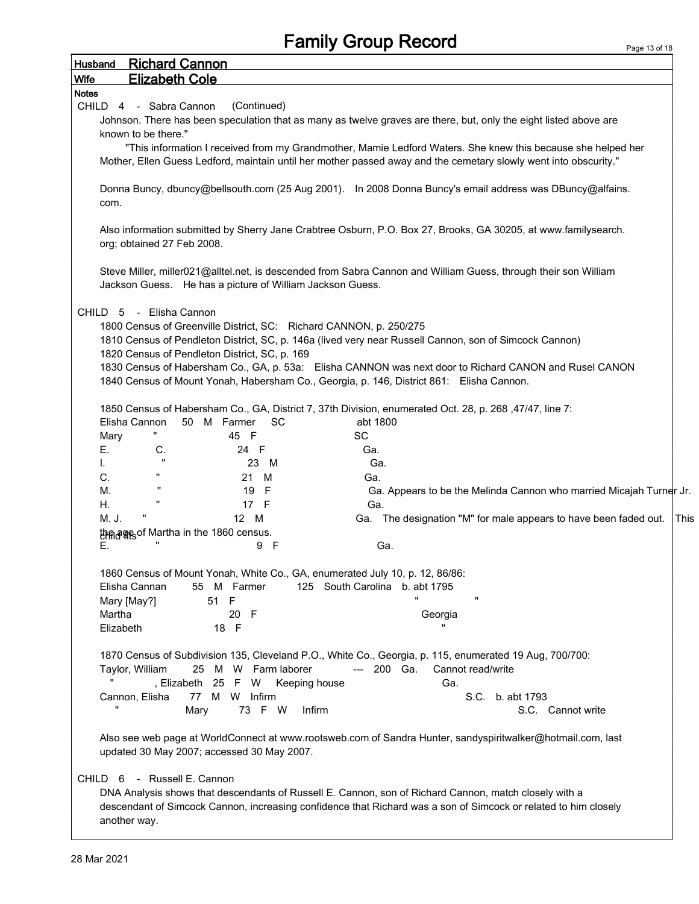| <b>Richard Cannon</b><br><b>Husband</b>                                                                                                                                                                                                                                                                                                                               |      |
|-----------------------------------------------------------------------------------------------------------------------------------------------------------------------------------------------------------------------------------------------------------------------------------------------------------------------------------------------------------------------|------|
| Wife<br><b>Elizabeth Cole</b>                                                                                                                                                                                                                                                                                                                                         |      |
| <b>Notes</b>                                                                                                                                                                                                                                                                                                                                                          |      |
| (Continued)<br>CHILD 4 - Sabra Cannon                                                                                                                                                                                                                                                                                                                                 |      |
| Johnson. There has been speculation that as many as twelve graves are there, but, only the eight listed above are                                                                                                                                                                                                                                                     |      |
| known to be there."                                                                                                                                                                                                                                                                                                                                                   |      |
| "This information I received from my Grandmother, Mamie Ledford Waters. She knew this because she helped her<br>Mother, Ellen Guess Ledford, maintain until her mother passed away and the cemetary slowly went into obscurity."                                                                                                                                      |      |
| Donna Buncy, dbuncy@bellsouth.com (25 Aug 2001). In 2008 Donna Buncy's email address was DBuncy@alfains.<br>com.                                                                                                                                                                                                                                                      |      |
| Also information submitted by Sherry Jane Crabtree Osburn, P.O. Box 27, Brooks, GA 30205, at www.familysearch.<br>org; obtained 27 Feb 2008.                                                                                                                                                                                                                          |      |
| Steve Miller, miller021@alltel.net, is descended from Sabra Cannon and William Guess, through their son William<br>Jackson Guess. He has a picture of William Jackson Guess.                                                                                                                                                                                          |      |
| - Elisha Cannon<br>CHILD 5<br>1800 Census of Greenville District, SC: Richard CANNON, p. 250/275<br>1810 Census of Pendleton District, SC, p. 146a (lived very near Russell Cannon, son of Simcock Cannon)<br>1820 Census of Pendleton District, SC, p. 169<br>1830 Census of Habersham Co., GA, p. 53a: Elisha CANNON was next door to Richard CANON and Rusel CANON |      |
| 1840 Census of Mount Yonah, Habersham Co., Georgia, p. 146, District 861: Elisha Cannon.                                                                                                                                                                                                                                                                              |      |
| 1850 Census of Habersham Co., GA, District 7, 37th Division, enumerated Oct. 28, p. 268, 47/47, line 7:<br>Elisha Cannon<br>50 M Farmer<br>abt 1800<br>SC.<br><b>SC</b><br>45 F<br>Mary<br>Е.<br>Ga.<br>C.<br>24 F<br>$\mathbf{u}$<br>Ga.<br>23 M<br>ı.                                                                                                               |      |
| п<br>C.<br>Ga.<br>21 M                                                                                                                                                                                                                                                                                                                                                |      |
| 19<br>Ga. Appears to be the Melinda Cannon who married Micajah Turner Jr.<br>-F<br>М.<br>п                                                                                                                                                                                                                                                                            |      |
| Η.<br>17 F<br>Ga.                                                                                                                                                                                                                                                                                                                                                     |      |
| 12 M<br>Ga. The designation "M" for male appears to have been faded out.<br>M. J.                                                                                                                                                                                                                                                                                     | This |
| th ages of Martha in the 1860 census.<br>9 F<br>Ga.                                                                                                                                                                                                                                                                                                                   |      |
| Е.                                                                                                                                                                                                                                                                                                                                                                    |      |
| 1860 Census of Mount Yonah, White Co., GA, enumerated July 10, p. 12, 86/86:<br>125 South Carolina b. abt 1795<br>Elisha Cannan<br>55 M Farmer<br>$\pmb{\mathsf{u}}$<br>51 F<br>Mary [May?]                                                                                                                                                                           |      |
| 20 F<br>Martha<br>Georgia<br>$\blacksquare$<br>18 F<br>Elizabeth                                                                                                                                                                                                                                                                                                      |      |
| 1870 Census of Subdivision 135, Cleveland P.O., White Co., Georgia, p. 115, enumerated 19 Aug, 700/700:<br>25 M W Farm laborer<br>Taylor, William<br>--- 200 Ga.<br>Cannot read/write<br>, Elizabeth 25 F W Keeping house<br>Ga.<br>77 M W Infirm<br>Cannon, Elisha<br>S.C. b. abt 1793<br>73 F W<br>Infirm<br>Mary<br>S.C. Cannot write                              |      |
|                                                                                                                                                                                                                                                                                                                                                                       |      |
| Also see web page at WorldConnect at www.rootsweb.com of Sandra Hunter, sandyspiritwalker@hotmail.com, last<br>updated 30 May 2007; accessed 30 May 2007.                                                                                                                                                                                                             |      |
| CHILD 6 - Russell E. Cannon<br>DNA Analysis shows that descendants of Russell E. Cannon, son of Richard Cannon, match closely with a                                                                                                                                                                                                                                  |      |
| descendant of Simcock Cannon, increasing confidence that Richard was a son of Simcock or related to him closely<br>another way.                                                                                                                                                                                                                                       |      |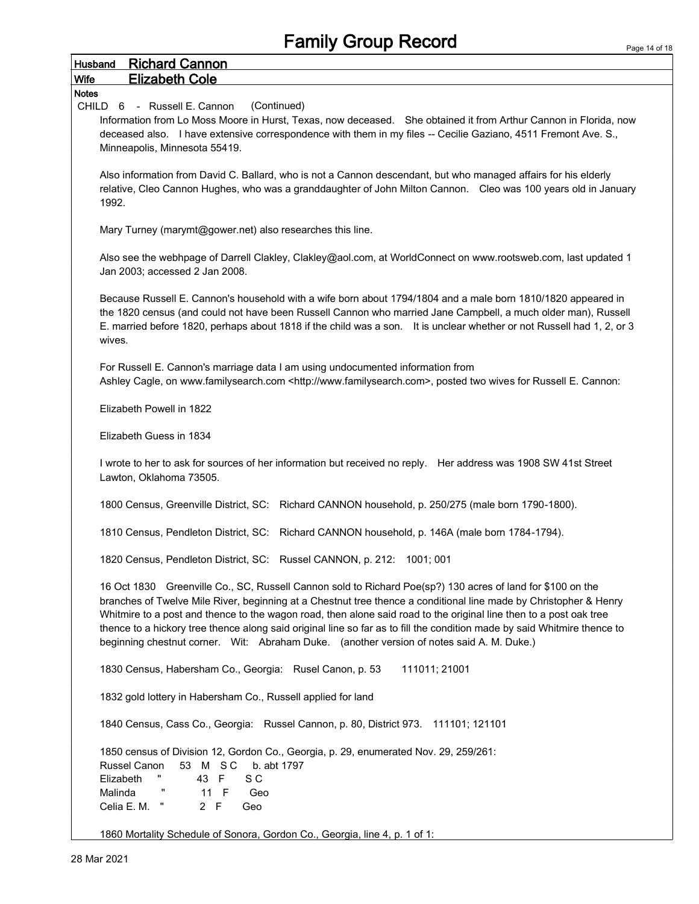| <b>Husband</b> | <b>Richard Cannon</b>                                                                                                                                                                                                                                                                                                                                                                                                                                                                                                                                                          |
|----------------|--------------------------------------------------------------------------------------------------------------------------------------------------------------------------------------------------------------------------------------------------------------------------------------------------------------------------------------------------------------------------------------------------------------------------------------------------------------------------------------------------------------------------------------------------------------------------------|
| Wife           | <b>Elizabeth Cole</b>                                                                                                                                                                                                                                                                                                                                                                                                                                                                                                                                                          |
| <b>Notes</b>   |                                                                                                                                                                                                                                                                                                                                                                                                                                                                                                                                                                                |
|                | (Continued)<br>CHILD 6 - Russell E. Cannon<br>Information from Lo Moss Moore in Hurst, Texas, now deceased. She obtained it from Arthur Cannon in Florida, now<br>deceased also. I have extensive correspondence with them in my files -- Cecilie Gaziano, 4511 Fremont Ave. S.,<br>Minneapolis, Minnesota 55419.                                                                                                                                                                                                                                                              |
|                | Also information from David C. Ballard, who is not a Cannon descendant, but who managed affairs for his elderly<br>relative, Cleo Cannon Hughes, who was a granddaughter of John Milton Cannon.  Cleo was 100 years old in January<br>1992.                                                                                                                                                                                                                                                                                                                                    |
|                | Mary Turney (marymt@gower.net) also researches this line.                                                                                                                                                                                                                                                                                                                                                                                                                                                                                                                      |
|                | Also see the webhpage of Darrell Clakley, Clakley@aol.com, at WorldConnect on www.rootsweb.com, last updated 1<br>Jan 2003; accessed 2 Jan 2008.                                                                                                                                                                                                                                                                                                                                                                                                                               |
|                | Because Russell E. Cannon's household with a wife born about 1794/1804 and a male born 1810/1820 appeared in<br>the 1820 census (and could not have been Russell Cannon who married Jane Campbell, a much older man), Russell<br>E. married before 1820, perhaps about 1818 if the child was a son. It is unclear whether or not Russell had 1, 2, or 3<br>wives.                                                                                                                                                                                                              |
|                | For Russell E. Cannon's marriage data I am using undocumented information from<br>Ashley Cagle, on www.familysearch.com <http: www.familysearch.com="">, posted two wives for Russell E. Cannon:</http:>                                                                                                                                                                                                                                                                                                                                                                       |
|                | Elizabeth Powell in 1822                                                                                                                                                                                                                                                                                                                                                                                                                                                                                                                                                       |
|                | Elizabeth Guess in 1834                                                                                                                                                                                                                                                                                                                                                                                                                                                                                                                                                        |
|                | I wrote to her to ask for sources of her information but received no reply. Her address was 1908 SW 41st Street<br>Lawton, Oklahoma 73505.                                                                                                                                                                                                                                                                                                                                                                                                                                     |
|                | 1800 Census, Greenville District, SC: Richard CANNON household, p. 250/275 (male born 1790-1800).                                                                                                                                                                                                                                                                                                                                                                                                                                                                              |
|                | 1810 Census, Pendleton District, SC: Richard CANNON household, p. 146A (male born 1784-1794).                                                                                                                                                                                                                                                                                                                                                                                                                                                                                  |
|                | 1820 Census, Pendleton District, SC: Russel CANNON, p. 212: 1001; 001                                                                                                                                                                                                                                                                                                                                                                                                                                                                                                          |
|                | 16 Oct 1830 Greenville Co., SC, Russell Cannon sold to Richard Poe(sp?) 130 acres of land for \$100 on the<br>branches of Twelve Mile River, beginning at a Chestnut tree thence a conditional line made by Christopher & Henry<br>Whitmire to a post and thence to the wagon road, then alone said road to the original line then to a post oak tree<br>thence to a hickory tree thence along said original line so far as to fill the condition made by said Whitmire thence to<br>beginning chestnut corner. Wit: Abraham Duke. (another version of notes said A. M. Duke.) |
|                | 111011; 21001<br>1830 Census, Habersham Co., Georgia: Rusel Canon, p. 53                                                                                                                                                                                                                                                                                                                                                                                                                                                                                                       |
|                | 1832 gold lottery in Habersham Co., Russell applied for land                                                                                                                                                                                                                                                                                                                                                                                                                                                                                                                   |
|                | 1840 Census, Cass Co., Georgia: Russel Cannon, p. 80, District 973. 111101; 121101                                                                                                                                                                                                                                                                                                                                                                                                                                                                                             |
|                | 1850 census of Division 12, Gordon Co., Georgia, p. 29, enumerated Nov. 29, 259/261:<br>Russel Canon<br>53 M SC<br>b. abt 1797<br>Elizabeth<br>43 F<br>S C<br>11 F<br>Malinda<br>Geo<br>Celia E. M.<br>2 F<br>Geo                                                                                                                                                                                                                                                                                                                                                              |
|                | 1860 Mortality Schedule of Sonora. Gordon Co., Georgia, line 4, p. 1 of 1:                                                                                                                                                                                                                                                                                                                                                                                                                                                                                                     |

1860 Mortality Schedule of Sonora, Gordon Co., Georgia, line 4, p. 1 of 1: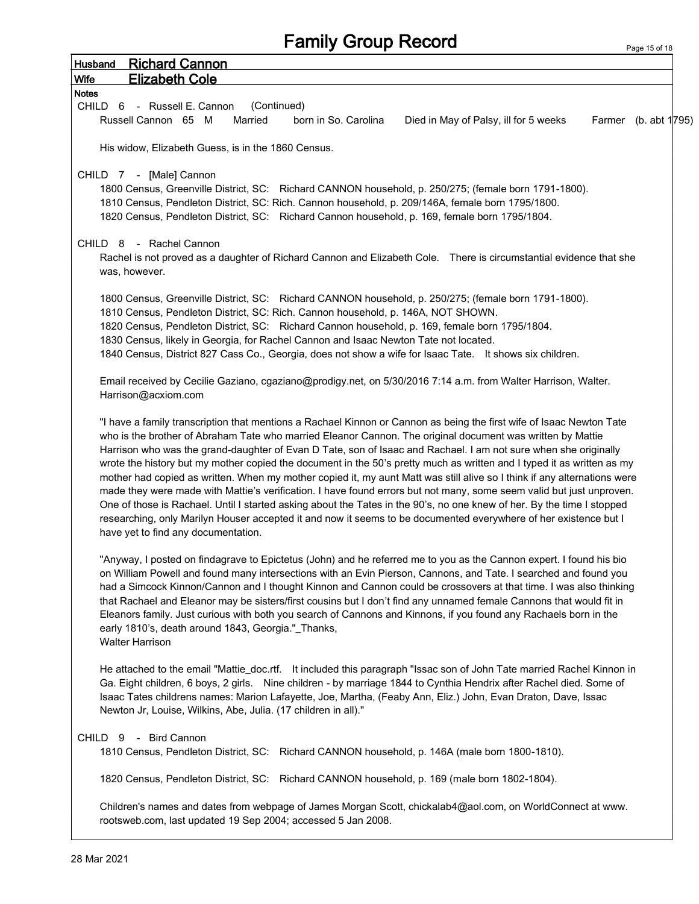Page 15 of 18

| <b>Richard Cannon</b><br><b>Husband</b>                                                                                                                                                                                                            |  |
|----------------------------------------------------------------------------------------------------------------------------------------------------------------------------------------------------------------------------------------------------|--|
| <b>Elizabeth Cole</b><br>Wife                                                                                                                                                                                                                      |  |
| <b>Notes</b>                                                                                                                                                                                                                                       |  |
| (Continued)<br>CHILD <sub>6</sub><br>- Russell E. Cannon<br>Russell Cannon 65 M<br>Married<br>Farmer (b. abt 1795)<br>born in So. Carolina<br>Died in May of Palsy, ill for 5 weeks                                                                |  |
|                                                                                                                                                                                                                                                    |  |
| His widow, Elizabeth Guess, is in the 1860 Census.                                                                                                                                                                                                 |  |
| CHILD 7 - [Male] Cannon                                                                                                                                                                                                                            |  |
| 1800 Census, Greenville District, SC: Richard CANNON household, p. 250/275; (female born 1791-1800).                                                                                                                                               |  |
| 1810 Census, Pendleton District, SC: Rich. Cannon household, p. 209/146A, female born 1795/1800.                                                                                                                                                   |  |
| 1820 Census, Pendleton District, SC: Richard Cannon household, p. 169, female born 1795/1804.                                                                                                                                                      |  |
| CHILD 8 - Rachel Cannon                                                                                                                                                                                                                            |  |
| Rachel is not proved as a daughter of Richard Cannon and Elizabeth Cole.  There is circumstantial evidence that she                                                                                                                                |  |
| was, however.                                                                                                                                                                                                                                      |  |
|                                                                                                                                                                                                                                                    |  |
| 1800 Census, Greenville District, SC: Richard CANNON household, p. 250/275; (female born 1791-1800).                                                                                                                                               |  |
| 1810 Census, Pendleton District, SC: Rich. Cannon household, p. 146A, NOT SHOWN.                                                                                                                                                                   |  |
| 1820 Census, Pendleton District, SC: Richard Cannon household, p. 169, female born 1795/1804.                                                                                                                                                      |  |
| 1830 Census, likely in Georgia, for Rachel Cannon and Isaac Newton Tate not located.<br>1840 Census, District 827 Cass Co., Georgia, does not show a wife for Isaac Tate. It shows six children.                                                   |  |
|                                                                                                                                                                                                                                                    |  |
| Email received by Cecilie Gaziano, cgaziano@prodigy.net, on 5/30/2016 7:14 a.m. from Walter Harrison, Walter.<br>Harrison@acxiom.com                                                                                                               |  |
|                                                                                                                                                                                                                                                    |  |
| "I have a family transcription that mentions a Rachael Kinnon or Cannon as being the first wife of Isaac Newton Tate                                                                                                                               |  |
| who is the brother of Abraham Tate who married Eleanor Cannon. The original document was written by Mattie                                                                                                                                         |  |
| Harrison who was the grand-daughter of Evan D Tate, son of Isaac and Rachael. I am not sure when she originally                                                                                                                                    |  |
| wrote the history but my mother copied the document in the 50's pretty much as written and I typed it as written as my<br>mother had copied as written. When my mother copied it, my aunt Matt was still alive so I think if any alternations were |  |
| made they were made with Mattie's verification. I have found errors but not many, some seem valid but just unproven.                                                                                                                               |  |
| One of those is Rachael. Until I started asking about the Tates in the 90's, no one knew of her. By the time I stopped                                                                                                                             |  |
| researching, only Marilyn Houser accepted it and now it seems to be documented everywhere of her existence but I                                                                                                                                   |  |
| have yet to find any documentation.                                                                                                                                                                                                                |  |
| "Anyway, I posted on findagrave to Epictetus (John) and he referred me to you as the Cannon expert. I found his bio                                                                                                                                |  |
| on William Powell and found many intersections with an Evin Pierson, Cannons, and Tate. I searched and found you                                                                                                                                   |  |
| had a Simcock Kinnon/Cannon and I thought Kinnon and Cannon could be crossovers at that time. I was also thinking                                                                                                                                  |  |
| that Rachael and Eleanor may be sisters/first cousins but I don't find any unnamed female Cannons that would fit in                                                                                                                                |  |
| Eleanors family. Just curious with both you search of Cannons and Kinnons, if you found any Rachaels born in the<br>early 1810's, death around 1843, Georgia."_Thanks,                                                                             |  |
| <b>Walter Harrison</b>                                                                                                                                                                                                                             |  |
|                                                                                                                                                                                                                                                    |  |
| He attached to the email "Mattie_doc.rtf. It included this paragraph "Issac son of John Tate married Rachel Kinnon in                                                                                                                              |  |
| Ga. Eight children, 6 boys, 2 girls. Nine children - by marriage 1844 to Cynthia Hendrix after Rachel died. Some of                                                                                                                                |  |
| Isaac Tates childrens names: Marion Lafayette, Joe, Martha, (Feaby Ann, Eliz.) John, Evan Draton, Dave, Issac<br>Newton Jr, Louise, Wilkins, Abe, Julia. (17 children in all)."                                                                    |  |
|                                                                                                                                                                                                                                                    |  |
| - Bird Cannon<br>CHILD <sub>9</sub>                                                                                                                                                                                                                |  |
| 1810 Census, Pendleton District, SC: Richard CANNON household, p. 146A (male born 1800-1810).                                                                                                                                                      |  |
| 1820 Census, Pendleton District, SC: Richard CANNON household, p. 169 (male born 1802-1804).                                                                                                                                                       |  |
| Children's names and dates from webpage of James Morgan Scott, chickalab4@aol.com, on WorldConnect at www.                                                                                                                                         |  |
| rootsweb.com, last updated 19 Sep 2004; accessed 5 Jan 2008.                                                                                                                                                                                       |  |
|                                                                                                                                                                                                                                                    |  |
|                                                                                                                                                                                                                                                    |  |

 $\overline{1}$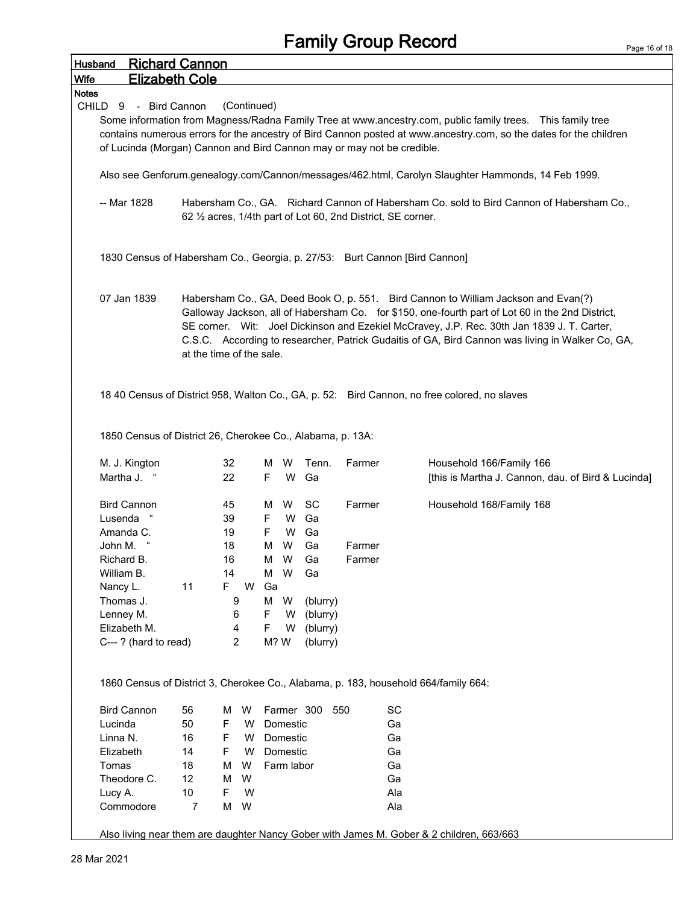| <b>Richard Cannon</b><br>Husband                                                                                        |                       |                                                      |                                        |                                        |                                                          |                                                              |                                                                                                                                                                                                                                                                                                                                                                                          |
|-------------------------------------------------------------------------------------------------------------------------|-----------------------|------------------------------------------------------|----------------------------------------|----------------------------------------|----------------------------------------------------------|--------------------------------------------------------------|------------------------------------------------------------------------------------------------------------------------------------------------------------------------------------------------------------------------------------------------------------------------------------------------------------------------------------------------------------------------------------------|
| Wife                                                                                                                    | <b>Elizabeth Cole</b> |                                                      |                                        |                                        |                                                          |                                                              |                                                                                                                                                                                                                                                                                                                                                                                          |
| Notes                                                                                                                   |                       |                                                      |                                        |                                        |                                                          |                                                              |                                                                                                                                                                                                                                                                                                                                                                                          |
| CHILD<br>9<br>of Lucinda (Morgan) Cannon and Bird Cannon may or may not be credible.                                    | - Bird Cannon         | (Continued)                                          |                                        |                                        |                                                          |                                                              | Some information from Magness/Radna Family Tree at www.ancestry.com, public family trees.  This family tree<br>contains numerous errors for the ancestry of Bird Cannon posted at www.ancestry.com, so the dates for the children                                                                                                                                                        |
|                                                                                                                         |                       |                                                      |                                        |                                        |                                                          |                                                              | Also see Genforum.genealogy.com/Cannon/messages/462.html, Carolyn Slaughter Hammonds, 14 Feb 1999.                                                                                                                                                                                                                                                                                       |
| -- Mar 1828                                                                                                             |                       |                                                      |                                        |                                        |                                                          | 62 1/2 acres, 1/4th part of Lot 60, 2nd District, SE corner. | Habersham Co., GA. Richard Cannon of Habersham Co. sold to Bird Cannon of Habersham Co.,                                                                                                                                                                                                                                                                                                 |
| 1830 Census of Habersham Co., Georgia, p. 27/53: Burt Cannon [Bird Cannon]                                              |                       |                                                      |                                        |                                        |                                                          |                                                              |                                                                                                                                                                                                                                                                                                                                                                                          |
| 07 Jan 1839                                                                                                             |                       | at the time of the sale.                             |                                        |                                        |                                                          |                                                              | Habersham Co., GA, Deed Book O, p. 551. Bird Cannon to William Jackson and Evan(?)<br>Galloway Jackson, all of Habersham Co. for \$150, one-fourth part of Lot 60 in the 2nd District,<br>SE corner. Wit: Joel Dickinson and Ezekiel McCravey, J.P. Rec. 30th Jan 1839 J. T. Carter,<br>C.S.C. According to researcher, Patrick Gudaitis of GA, Bird Cannon was living in Walker Co, GA, |
|                                                                                                                         |                       |                                                      |                                        |                                        |                                                          |                                                              | 18 40 Census of District 958, Walton Co., GA, p. 52: Bird Cannon, no free colored, no slaves                                                                                                                                                                                                                                                                                             |
|                                                                                                                         |                       |                                                      |                                        |                                        |                                                          |                                                              |                                                                                                                                                                                                                                                                                                                                                                                          |
| 1850 Census of District 26, Cherokee Co., Alabama, p. 13A:                                                              |                       |                                                      |                                        |                                        |                                                          |                                                              |                                                                                                                                                                                                                                                                                                                                                                                          |
| M. J. Kington<br>Martha J.                                                                                              |                       | 32<br>22                                             | м<br>F                                 | W<br>W                                 | Tenn.<br>Ga                                              | Farmer                                                       | Household 166/Family 166<br>[this is Martha J. Cannon, dau. of Bird & Lucinda]                                                                                                                                                                                                                                                                                                           |
| <b>Bird Cannon</b><br>Lusenda<br>Amanda C.<br>John M.<br>Richard B.<br>William B.<br>Nancy L.<br>Thomas J.<br>Lenney M. | 11                    | 45<br>39<br>19<br>18<br>16<br>14<br>F<br>W<br>9<br>6 | м<br>F<br>F.<br>м<br>м<br>Ga<br>M<br>F | W<br>W<br>W<br>W<br>W<br>M W<br>W<br>W | SC<br>Ga<br>Ga<br>Ga<br>Ga<br>Ga<br>(blurry)<br>(blurry) | Farmer<br>Farmer<br>Farmer                                   | Household 168/Family 168                                                                                                                                                                                                                                                                                                                                                                 |
| Elizabeth M.<br>C---? (hard to read)                                                                                    |                       | 4<br>$\overline{2}$                                  | F                                      | W<br>M? W                              | (blurry)<br>(blurry)                                     |                                                              |                                                                                                                                                                                                                                                                                                                                                                                          |
|                                                                                                                         |                       |                                                      |                                        |                                        |                                                          |                                                              | 1860 Census of District 3, Cherokee Co., Alabama, p. 183, household 664/family 664:                                                                                                                                                                                                                                                                                                      |
| <b>Bird Cannon</b>                                                                                                      | 56                    | M                                                    |                                        |                                        |                                                          | 550                                                          |                                                                                                                                                                                                                                                                                                                                                                                          |
| Lucinda                                                                                                                 | 50                    | W<br>$\mathsf F$<br>W                                |                                        | Domestic                               | Farmer 300                                               | SC<br>Ga                                                     |                                                                                                                                                                                                                                                                                                                                                                                          |
|                                                                                                                         |                       | W                                                    |                                        |                                        |                                                          |                                                              |                                                                                                                                                                                                                                                                                                                                                                                          |
| Linna N.                                                                                                                | 16                    | F<br>F<br>W                                          |                                        | Domestic                               |                                                          | Ga                                                           |                                                                                                                                                                                                                                                                                                                                                                                          |
| Elizabeth                                                                                                               | 14                    |                                                      |                                        | Domestic                               |                                                          | Ga                                                           |                                                                                                                                                                                                                                                                                                                                                                                          |
| Tomas                                                                                                                   | 18                    | M<br>W                                               |                                        | Farm labor                             |                                                          | Ga                                                           |                                                                                                                                                                                                                                                                                                                                                                                          |
| Theodore C.                                                                                                             | 12                    | W<br>м                                               |                                        |                                        |                                                          | Ga                                                           |                                                                                                                                                                                                                                                                                                                                                                                          |
| Lucy A.<br>Commodore                                                                                                    | 10<br>7               | F<br>W<br>M<br>W                                     |                                        |                                        |                                                          | Ala<br>Ala                                                   |                                                                                                                                                                                                                                                                                                                                                                                          |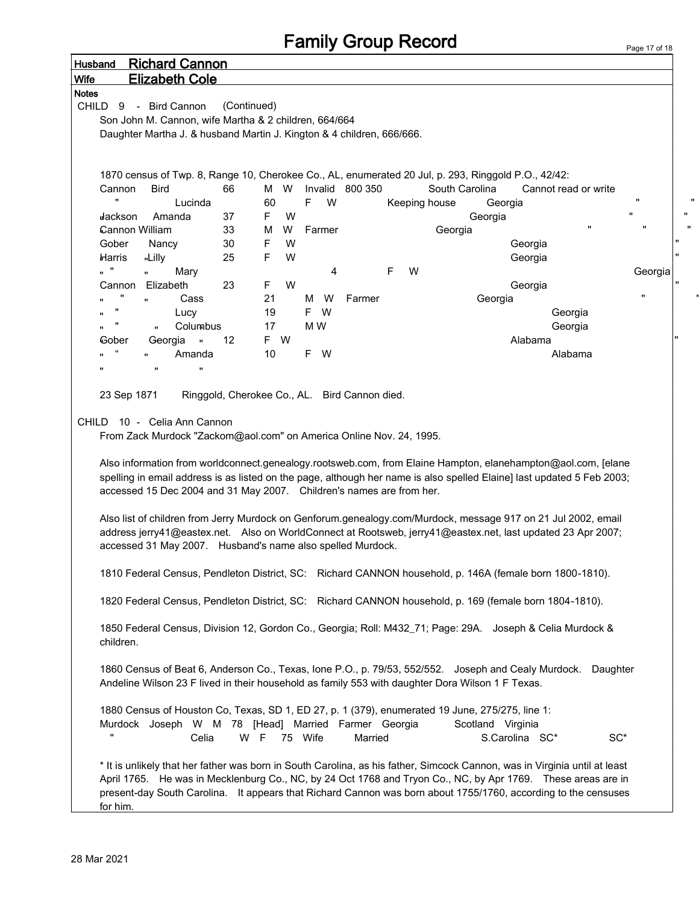| <b>Wife</b><br><b>Notes</b> | <b>Elizabeth Cole</b>                                                                                                                                                                                                                                                                                                                                        |                    |             |     |         |     |        |                 |        |               |                |                                     |                      |                |                    |
|-----------------------------|--------------------------------------------------------------------------------------------------------------------------------------------------------------------------------------------------------------------------------------------------------------------------------------------------------------------------------------------------------------|--------------------|-------------|-----|---------|-----|--------|-----------------|--------|---------------|----------------|-------------------------------------|----------------------|----------------|--------------------|
| CHILD<br>9                  | - Bird Cannon                                                                                                                                                                                                                                                                                                                                                |                    | (Continued) |     |         |     |        |                 |        |               |                |                                     |                      |                |                    |
|                             | Son John M. Cannon, wife Martha & 2 children, 664/664                                                                                                                                                                                                                                                                                                        |                    |             |     |         |     |        |                 |        |               |                |                                     |                      |                |                    |
|                             | Daughter Martha J. & husband Martin J. Kington & 4 children, 666/666.                                                                                                                                                                                                                                                                                        |                    |             |     |         |     |        |                 |        |               |                |                                     |                      |                |                    |
|                             |                                                                                                                                                                                                                                                                                                                                                              |                    |             |     |         |     |        |                 |        |               |                |                                     |                      |                |                    |
|                             |                                                                                                                                                                                                                                                                                                                                                              |                    |             |     |         |     |        |                 |        |               |                |                                     |                      |                |                    |
|                             | 1870 census of Twp. 8, Range 10, Cherokee Co., AL, enumerated 20 Jul, p. 293, Ringgold P.O., 42/42:                                                                                                                                                                                                                                                          |                    |             |     |         |     |        |                 |        |               |                |                                     |                      |                |                    |
| Cannon                      | Bird                                                                                                                                                                                                                                                                                                                                                         |                    | 66          | M   | W       |     |        | Invalid 800 350 |        |               | South Carolina |                                     | Cannot read or write |                |                    |
| Ħ                           |                                                                                                                                                                                                                                                                                                                                                              | Lucinda            |             | 60  |         | F.  | W      |                 |        | Keeping house |                | Georgia                             |                      |                | $\pmb{\mathsf{H}}$ |
| Jackson                     | Amanda                                                                                                                                                                                                                                                                                                                                                       |                    | 37          | F   | W       |     |        |                 |        |               | Georgia        |                                     |                      |                | $\pmb{\mathsf{H}}$ |
|                             | Cannon William                                                                                                                                                                                                                                                                                                                                               |                    | 33          | M   | W       |     | Farmer |                 |        | Georgia       |                |                                     |                      | $\blacksquare$ | $\pmb{\mathsf{H}}$ |
| Gober                       | Nancy                                                                                                                                                                                                                                                                                                                                                        |                    | 30          | F   | W       |     |        |                 |        |               |                | Georgia                             |                      |                |                    |
| Harris                      | "Lilly                                                                                                                                                                                                                                                                                                                                                       |                    | 25          | F   | W       |     |        |                 |        |               |                | Georgia                             |                      |                |                    |
| Ħ                           | $\mathbf{u}$                                                                                                                                                                                                                                                                                                                                                 | Mary               |             |     |         |     | 4      |                 | F<br>W |               |                |                                     |                      |                | Georgia            |
| Cannon                      | Elizabeth                                                                                                                                                                                                                                                                                                                                                    |                    | 23          | F   | W       |     |        |                 |        |               |                | Georgia                             |                      |                |                    |
|                             | $\mathbf{u}$                                                                                                                                                                                                                                                                                                                                                 | Cass               |             | 21  |         | M   | W      | Farmer          |        |               | Georgia        |                                     |                      |                | "                  |
|                             |                                                                                                                                                                                                                                                                                                                                                              | Lucy               |             | 19  |         | F W |        |                 |        |               |                |                                     | Georgia              |                |                    |
|                             | $\mathbf{u}$                                                                                                                                                                                                                                                                                                                                                 | Columbus           |             | 17  |         | M W |        |                 |        |               |                |                                     | Georgia              |                |                    |
| Gober                       | Georgia                                                                                                                                                                                                                                                                                                                                                      | $\sim$ 11          | 12          | F.  | W       |     |        |                 |        |               |                | Alabama                             |                      |                |                    |
|                             |                                                                                                                                                                                                                                                                                                                                                              | Amanda             |             | 10  |         | F W |        |                 |        |               |                |                                     | Alabama              |                |                    |
| "                           | $\mathbf{u}$                                                                                                                                                                                                                                                                                                                                                 | $\pmb{\mathsf{H}}$ |             |     |         |     |        |                 |        |               |                |                                     |                      |                |                    |
|                             | spelling in email address is as listed on the page, although her name is also spelled Elaine] last updated 5 Feb 2003;<br>accessed 15 Dec 2004 and 31 May 2007. Children's names are from her.                                                                                                                                                               |                    |             |     |         |     |        |                 |        |               |                |                                     |                      |                |                    |
|                             | Also list of children from Jerry Murdock on Genforum.genealogy.com/Murdock, message 917 on 21 Jul 2002, email<br>address jerry41@eastex.net. Also on WorldConnect at Rootsweb, jerry41@eastex.net, last updated 23 Apr 2007;<br>accessed 31 May 2007. Husband's name also spelled Murdock.                                                                   |                    |             |     |         |     |        |                 |        |               |                |                                     |                      |                |                    |
|                             | 1810 Federal Census, Pendleton District, SC: Richard CANNON household, p. 146A (female born 1800-1810).                                                                                                                                                                                                                                                      |                    |             |     |         |     |        |                 |        |               |                |                                     |                      |                |                    |
|                             | 1820 Federal Census, Pendleton District, SC: Richard CANNON household, p. 169 (female born 1804-1810).                                                                                                                                                                                                                                                       |                    |             |     |         |     |        |                 |        |               |                |                                     |                      |                |                    |
| children.                   | 1850 Federal Census, Division 12, Gordon Co., Georgia; Roll: M432_71; Page: 29A. Joseph & Celia Murdock &                                                                                                                                                                                                                                                    |                    |             |     |         |     |        |                 |        |               |                |                                     |                      |                |                    |
|                             | 1860 Census of Beat 6, Anderson Co., Texas, Ione P.O., p. 79/53, 552/552. Joseph and Cealy Murdock. Daughter<br>Andeline Wilson 23 F lived in their household as family 553 with daughter Dora Wilson 1 F Texas.                                                                                                                                             |                    |             |     |         |     |        |                 |        |               |                |                                     |                      |                |                    |
|                             | 1880 Census of Houston Co, Texas, SD 1, ED 27, p. 1 (379), enumerated 19 June, 275/275, line 1:<br>Murdock Joseph W M 78 [Head] Married Farmer Georgia                                                                                                                                                                                                       | Celia              |             | W F | 75 Wife |     |        | Married         |        |               |                | Scotland Virginia<br>S.Carolina SC* |                      | $SC^*$         |                    |
| for him.                    | * It is unlikely that her father was born in South Carolina, as his father, Simcock Cannon, was in Virginia until at least<br>April 1765. He was in Mecklenburg Co., NC, by 24 Oct 1768 and Tryon Co., NC, by Apr 1769. These areas are in<br>present-day South Carolina. It appears that Richard Cannon was born about 1755/1760, according to the censuses |                    |             |     |         |     |        |                 |        |               |                |                                     |                      |                |                    |